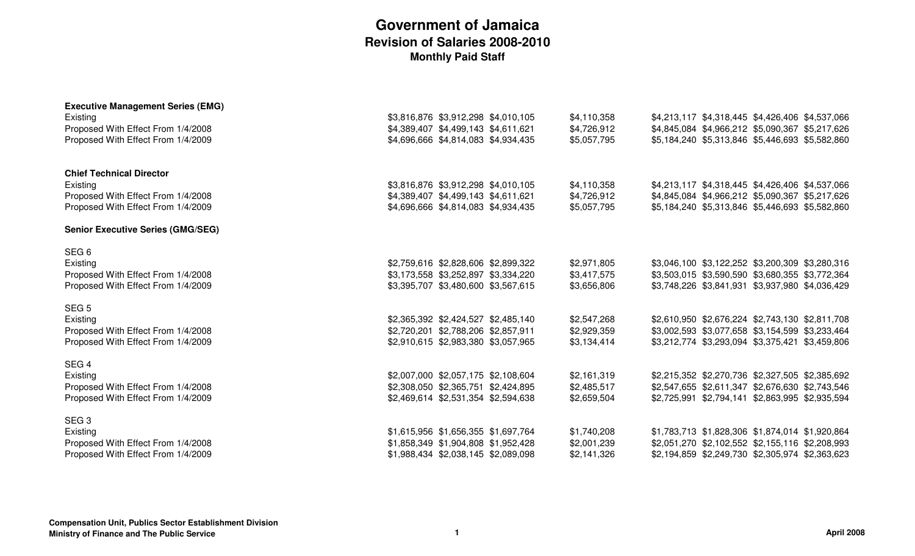| <b>Executive Management Series (EMG)</b>                                 |                                                                            |                            |                                                                                                    |  |  |
|--------------------------------------------------------------------------|----------------------------------------------------------------------------|----------------------------|----------------------------------------------------------------------------------------------------|--|--|
| Existing                                                                 | \$3,816,876 \$3,912,298 \$4,010,105                                        | \$4,110,358                | \$4,213,117 \$4,318,445 \$4,426,406 \$4,537,066                                                    |  |  |
| Proposed With Effect From 1/4/2008<br>Proposed With Effect From 1/4/2009 | \$4,389,407 \$4,499,143 \$4,611,621<br>\$4,696,666 \$4,814,083 \$4,934,435 | \$4,726,912<br>\$5,057,795 | \$4,845,084 \$4,966,212 \$5,090,367 \$5,217,626<br>\$5,184,240 \$5,313,846 \$5,446,693 \$5,582,860 |  |  |
|                                                                          |                                                                            |                            |                                                                                                    |  |  |
| <b>Chief Technical Director</b>                                          |                                                                            |                            |                                                                                                    |  |  |
| Existing                                                                 | \$3,816,876 \$3,912,298 \$4,010,105                                        | \$4,110,358                | \$4,213,117 \$4,318,445 \$4,426,406 \$4,537,066                                                    |  |  |
| Proposed With Effect From 1/4/2008                                       | \$4,389,407 \$4,499,143 \$4,611,621                                        | \$4,726,912                | \$4,845,084 \$4,966,212 \$5,090,367 \$5,217,626                                                    |  |  |
| Proposed With Effect From 1/4/2009                                       | \$4,696,666 \$4,814,083 \$4,934,435                                        | \$5,057,795                | \$5,184,240 \$5,313,846 \$5,446,693 \$5,582,860                                                    |  |  |
| <b>Senior Executive Series (GMG/SEG)</b>                                 |                                                                            |                            |                                                                                                    |  |  |
| SEG <sub>6</sub>                                                         |                                                                            |                            |                                                                                                    |  |  |
| Existing                                                                 | \$2,759,616 \$2,828,606 \$2,899,322                                        | \$2,971,805                | \$3,046,100 \$3,122,252 \$3,200,309 \$3,280,316                                                    |  |  |
| Proposed With Effect From 1/4/2008                                       | \$3,173,558 \$3,252,897 \$3,334,220                                        | \$3,417,575                | \$3,503,015 \$3,590,590 \$3,680,355 \$3,772,364                                                    |  |  |
| Proposed With Effect From 1/4/2009                                       | \$3,395,707 \$3,480,600 \$3,567,615                                        | \$3,656,806                | \$3,748,226 \$3,841,931 \$3,937,980 \$4,036,429                                                    |  |  |
| SEG <sub>5</sub>                                                         |                                                                            |                            |                                                                                                    |  |  |
| Existing                                                                 | \$2,365,392 \$2,424,527 \$2,485,140                                        | \$2,547,268                | \$2,610,950 \$2,676,224 \$2,743,130 \$2,811,708                                                    |  |  |
| Proposed With Effect From 1/4/2008                                       | \$2,720,201 \$2,788,206 \$2,857,911                                        | \$2,929,359                | \$3,002,593 \$3,077,658 \$3,154,599 \$3,233,464                                                    |  |  |
| Proposed With Effect From 1/4/2009                                       | \$2,910,615 \$2,983,380 \$3,057,965                                        | \$3,134,414                | \$3,212,774 \$3,293,094 \$3,375,421 \$3,459,806                                                    |  |  |
| SEG <sub>4</sub>                                                         |                                                                            |                            |                                                                                                    |  |  |
| Existing                                                                 | \$2,007,000 \$2,057,175 \$2,108,604                                        | \$2,161,319                | \$2,215,352 \$2,270,736 \$2,327,505 \$2,385,692                                                    |  |  |
| Proposed With Effect From 1/4/2008                                       | \$2,308,050 \$2,365,751 \$2,424,895                                        | \$2,485,517                | \$2,547,655 \$2,611,347 \$2,676,630 \$2,743,546                                                    |  |  |
| Proposed With Effect From 1/4/2009                                       | \$2,469,614 \$2,531,354 \$2,594,638                                        | \$2,659,504                | \$2,725,991 \$2,794,141 \$2,863,995 \$2,935,594                                                    |  |  |
| SEG <sub>3</sub>                                                         |                                                                            |                            |                                                                                                    |  |  |
| Existing                                                                 | \$1,615,956 \$1,656,355 \$1,697,764                                        | \$1,740,208                | \$1,783,713 \$1,828,306 \$1,874,014 \$1,920,864                                                    |  |  |
| Proposed With Effect From 1/4/2008                                       | \$1,858,349 \$1,904,808 \$1,952,428                                        | \$2,001,239                | \$2,051,270 \$2,102,552 \$2,155,116 \$2,208,993                                                    |  |  |
| Proposed With Effect From 1/4/2009                                       | \$1,988,434 \$2,038,145 \$2,089,098                                        | \$2,141,326                | \$2,194,859 \$2,249,730 \$2,305,974 \$2,363,623                                                    |  |  |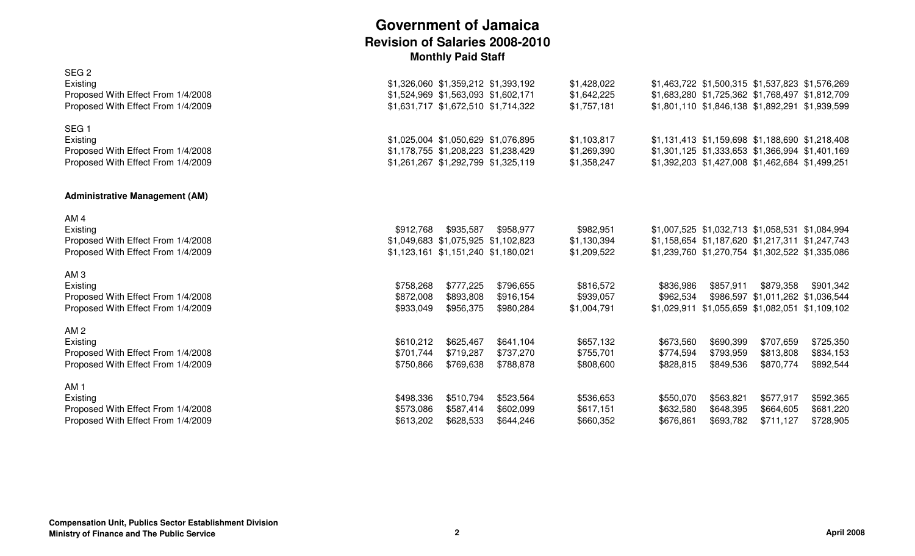| SEG <sub>2</sub><br>Existing<br>Proposed With Effect From 1/4/2008<br>Proposed With Effect From 1/4/2009 | \$1,326,060 \$1,359,212 \$1,393,192<br>\$1,524,969 \$1,563,093 \$1,602,171<br>\$1,631,717 \$1,672,510 \$1,714,322 |                                     |                                     | \$1,428,022<br>\$1,642,225<br>\$1,757,181 | \$1,463,722 \$1,500,315 \$1,537,823 \$1,576,269<br>\$1,683,280 \$1,725,362 \$1,768,497 \$1,812,709<br>\$1,801,110 \$1,846,138 \$1,892,291 \$1,939,599 |                                                              |                                                |                                     |
|----------------------------------------------------------------------------------------------------------|-------------------------------------------------------------------------------------------------------------------|-------------------------------------|-------------------------------------|-------------------------------------------|-------------------------------------------------------------------------------------------------------------------------------------------------------|--------------------------------------------------------------|------------------------------------------------|-------------------------------------|
| SEG <sub>1</sub><br>Existing<br>Proposed With Effect From 1/4/2008<br>Proposed With Effect From 1/4/2009 | \$1,025,004 \$1,050,629 \$1,076,895<br>\$1,178,755 \$1,208,223 \$1,238,429<br>\$1,261,267 \$1,292,799 \$1,325,119 |                                     |                                     | \$1,103,817<br>\$1,269,390<br>\$1,358,247 | \$1,131,413 \$1,159,698 \$1,188,690 \$1,218,408<br>\$1,301,125 \$1,333,653 \$1,366,994 \$1,401,169                                                    | \$1,392,203 \$1,427,008 \$1,462,684 \$1,499,251              |                                                |                                     |
| <b>Administrative Management (AM)</b>                                                                    |                                                                                                                   |                                     |                                     |                                           |                                                                                                                                                       |                                                              |                                                |                                     |
| AM <sub>4</sub><br>Existing<br>Proposed With Effect From 1/4/2008<br>Proposed With Effect From 1/4/2009  | \$912,768<br>\$1,049,683 \$1,075,925 \$1,102,823<br>\$1,123,161 \$1,151,240 \$1,180,021                           | \$935,587                           | \$958,977                           | \$982,951<br>\$1,130,394<br>\$1,209,522   | \$1,007,525 \$1,032,713 \$1,058,531 \$1,084,994<br>\$1,158,654 \$1,187,620 \$1,217,311 \$1,247,743<br>\$1,239,760 \$1,270,754 \$1,302,522 \$1,335,086 |                                                              |                                                |                                     |
| AM <sub>3</sub><br>Existing<br>Proposed With Effect From 1/4/2008<br>Proposed With Effect From 1/4/2009  | \$758,268<br>\$872,008<br>\$933,049                                                                               | \$777,225<br>\$893,808<br>\$956,375 | \$796,655<br>\$916,154<br>\$980,284 | \$816,572<br>\$939,057<br>\$1,004,791     | \$836,986<br>\$962,534                                                                                                                                | \$857,911<br>\$1,029,911 \$1,055,659 \$1,082,051 \$1,109,102 | \$879,358<br>\$986,597 \$1,011,262 \$1,036,544 | \$901,342                           |
| AM <sub>2</sub><br>Existing<br>Proposed With Effect From 1/4/2008<br>Proposed With Effect From 1/4/2009  | \$610,212<br>\$701,744<br>\$750,866                                                                               | \$625,467<br>\$719,287<br>\$769,638 | \$641,104<br>\$737,270<br>\$788,878 | \$657,132<br>\$755,701<br>\$808,600       | \$673,560<br>\$774,594<br>\$828,815                                                                                                                   | \$690,399<br>\$793,959<br>\$849,536                          | \$707,659<br>\$813,808<br>\$870,774            | \$725,350<br>\$834,153<br>\$892,544 |
| AM <sub>1</sub><br>Existing<br>Proposed With Effect From 1/4/2008<br>Proposed With Effect From 1/4/2009  | \$498,336<br>\$573,086<br>\$613,202                                                                               | \$510,794<br>\$587,414<br>\$628,533 | \$523,564<br>\$602,099<br>\$644,246 | \$536,653<br>\$617,151<br>\$660,352       | \$550,070<br>\$632,580<br>\$676,861                                                                                                                   | \$563,821<br>\$648,395<br>\$693,782                          | \$577,917<br>\$664,605<br>\$711,127            | \$592,365<br>\$681,220<br>\$728,905 |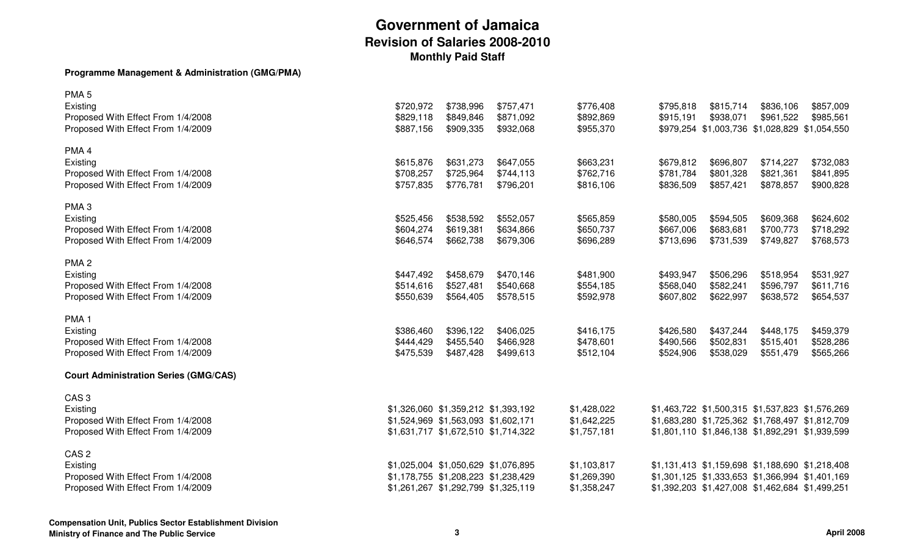#### **Programme Management & Administration (GMG/PMA)**

| PMA <sub>5</sub><br>Existing<br>Proposed With Effect From 1/4/2008<br>Proposed With Effect From 1/4/2009 | \$720,972<br>\$829,118<br>\$887,156 | \$738,996<br>\$849,846<br>\$909,335                                                                               | \$757,471<br>\$871,092<br>\$932,068 | \$776,408<br>\$892,869<br>\$955,370       | \$795,818<br>\$915,191              | \$815,714<br>\$938,071              | \$836,106<br>\$961,522<br>\$979,254 \$1,003,736 \$1,028,829 \$1,054,550                                                                               | \$857,009<br>\$985,561              |
|----------------------------------------------------------------------------------------------------------|-------------------------------------|-------------------------------------------------------------------------------------------------------------------|-------------------------------------|-------------------------------------------|-------------------------------------|-------------------------------------|-------------------------------------------------------------------------------------------------------------------------------------------------------|-------------------------------------|
| PMA <sub>4</sub><br>Existing<br>Proposed With Effect From 1/4/2008<br>Proposed With Effect From 1/4/2009 | \$615,876<br>\$708,257<br>\$757,835 | \$631,273<br>\$725,964<br>\$776,781                                                                               | \$647,055<br>\$744,113<br>\$796,201 | \$663,231<br>\$762,716<br>\$816,106       | \$679,812<br>\$781,784<br>\$836,509 | \$696,807<br>\$801,328<br>\$857,421 | \$714,227<br>\$821,361<br>\$878,857                                                                                                                   | \$732,083<br>\$841,895<br>\$900,828 |
| PMA <sub>3</sub><br>Existing<br>Proposed With Effect From 1/4/2008<br>Proposed With Effect From 1/4/2009 | \$525,456<br>\$604,274<br>\$646,574 | \$538,592<br>\$619,381<br>\$662,738                                                                               | \$552,057<br>\$634,866<br>\$679,306 | \$565,859<br>\$650,737<br>\$696,289       | \$580,005<br>\$667,006<br>\$713,696 | \$594,505<br>\$683,681<br>\$731,539 | \$609,368<br>\$700,773<br>\$749,827                                                                                                                   | \$624,602<br>\$718,292<br>\$768,573 |
| PMA <sub>2</sub><br>Existing<br>Proposed With Effect From 1/4/2008<br>Proposed With Effect From 1/4/2009 | \$447,492<br>\$514,616<br>\$550,639 | \$458,679<br>\$527,481<br>\$564,405                                                                               | \$470,146<br>\$540,668<br>\$578,515 | \$481,900<br>\$554,185<br>\$592,978       | \$493,947<br>\$568,040<br>\$607,802 | \$506,296<br>\$582,241<br>\$622,997 | \$518,954<br>\$596,797<br>\$638,572                                                                                                                   | \$531,927<br>\$611,716<br>\$654,537 |
| PMA <sub>1</sub><br>Existing<br>Proposed With Effect From 1/4/2008<br>Proposed With Effect From 1/4/2009 | \$386,460<br>\$444,429<br>\$475,539 | \$396,122<br>\$455,540<br>\$487,428                                                                               | \$406,025<br>\$466,928<br>\$499,613 | \$416,175<br>\$478,601<br>\$512,104       | \$426,580<br>\$490,566<br>\$524,906 | \$437,244<br>\$502,831<br>\$538,029 | \$448,175<br>\$515,401<br>\$551,479                                                                                                                   | \$459,379<br>\$528,286<br>\$565,266 |
| <b>Court Administration Series (GMG/CAS)</b>                                                             |                                     |                                                                                                                   |                                     |                                           |                                     |                                     |                                                                                                                                                       |                                     |
| CAS <sub>3</sub><br>Existing<br>Proposed With Effect From 1/4/2008<br>Proposed With Effect From 1/4/2009 |                                     | \$1,326,060 \$1,359,212 \$1,393,192<br>\$1,524,969 \$1,563,093 \$1,602,171<br>\$1,631,717 \$1,672,510 \$1,714,322 |                                     | \$1,428,022<br>\$1,642,225<br>\$1,757,181 |                                     |                                     | \$1,463,722 \$1,500,315 \$1,537,823 \$1,576,269<br>\$1,683,280 \$1,725,362 \$1,768,497 \$1,812,709<br>\$1,801,110 \$1,846,138 \$1,892,291 \$1,939,599 |                                     |
| CAS <sub>2</sub><br>Existing<br>Proposed With Effect From 1/4/2008<br>Proposed With Effect From 1/4/2009 |                                     | \$1,025,004 \$1,050,629 \$1,076,895<br>\$1,178,755 \$1,208,223 \$1,238,429<br>\$1,261,267 \$1,292,799 \$1,325,119 |                                     | \$1,103,817<br>\$1,269,390<br>\$1,358,247 |                                     |                                     | \$1,131,413 \$1,159,698 \$1,188,690 \$1,218,408<br>\$1,301,125 \$1,333,653 \$1,366,994 \$1,401,169<br>\$1,392,203 \$1,427,008 \$1,462,684 \$1,499,251 |                                     |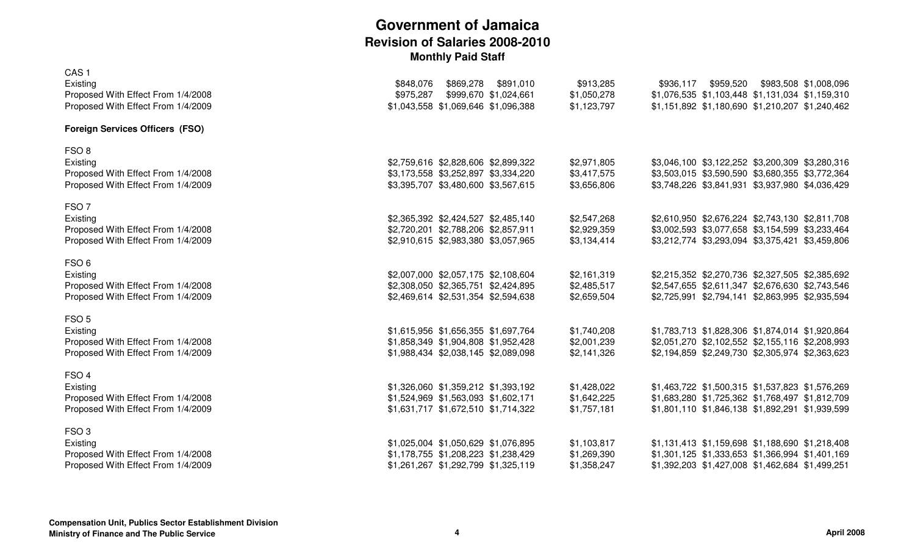| CAS <sub>1</sub>                                                         |                                                                           |                            |                                                                                                    |
|--------------------------------------------------------------------------|---------------------------------------------------------------------------|----------------------------|----------------------------------------------------------------------------------------------------|
| Existing                                                                 | \$869,278<br>\$891,010<br>\$848,076                                       | \$913,285                  | \$959,520 \$983,508 \$1,008,096<br>\$936,117                                                       |
| Proposed With Effect From 1/4/2008<br>Proposed With Effect From 1/4/2009 | \$975,287<br>\$999,670 \$1,024,661<br>\$1,043,558 \$1,069,646 \$1,096,388 | \$1,050,278<br>\$1,123,797 | \$1,076,535 \$1,103,448 \$1,131,034 \$1,159,310<br>\$1,151,892 \$1,180,690 \$1,210,207 \$1,240,462 |
|                                                                          |                                                                           |                            |                                                                                                    |
| <b>Foreign Services Officers (FSO)</b>                                   |                                                                           |                            |                                                                                                    |
| FSO <sub>8</sub>                                                         |                                                                           |                            |                                                                                                    |
| Existing                                                                 | \$2,759,616 \$2,828,606 \$2,899,322                                       | \$2,971,805                | \$3,046,100 \$3,122,252 \$3,200,309 \$3,280,316                                                    |
| Proposed With Effect From 1/4/2008                                       | \$3,173,558 \$3,252,897 \$3,334,220                                       | \$3,417,575                | \$3,503,015 \$3,590,590 \$3,680,355 \$3,772,364                                                    |
| Proposed With Effect From 1/4/2009                                       | \$3,395,707 \$3,480,600 \$3,567,615                                       | \$3,656,806                | \$3,748,226 \$3,841,931 \$3,937,980 \$4,036,429                                                    |
| FSO <sub>7</sub>                                                         |                                                                           |                            |                                                                                                    |
| Existing                                                                 | \$2,365,392 \$2,424,527 \$2,485,140                                       | \$2,547,268                | \$2,610,950 \$2,676,224 \$2,743,130 \$2,811,708                                                    |
| Proposed With Effect From 1/4/2008                                       | \$2,720,201 \$2,788,206 \$2,857,911                                       | \$2,929,359                | \$3,002,593 \$3,077,658 \$3,154,599 \$3,233,464                                                    |
| Proposed With Effect From 1/4/2009                                       | \$2,910,615 \$2,983,380 \$3,057,965                                       | \$3,134,414                | \$3,212,774 \$3,293,094 \$3,375,421 \$3,459,806                                                    |
| FSO <sub>6</sub>                                                         |                                                                           |                            |                                                                                                    |
| Existing                                                                 | \$2,007,000 \$2,057,175 \$2,108,604                                       | \$2,161,319                | \$2,215,352 \$2,270,736 \$2,327,505 \$2,385,692                                                    |
| Proposed With Effect From 1/4/2008                                       | \$2,308,050 \$2,365,751 \$2,424,895                                       | \$2,485,517                | \$2,547,655 \$2,611,347 \$2,676,630 \$2,743,546                                                    |
| Proposed With Effect From 1/4/2009                                       | \$2,469,614 \$2,531,354 \$2,594,638                                       | \$2,659,504                | \$2,725,991 \$2,794,141 \$2,863,995 \$2,935,594                                                    |
| FSO <sub>5</sub>                                                         |                                                                           |                            |                                                                                                    |
| Existing                                                                 | \$1,615,956 \$1,656,355 \$1,697,764                                       | \$1,740,208                | \$1,783,713 \$1,828,306 \$1,874,014 \$1,920,864                                                    |
| Proposed With Effect From 1/4/2008                                       | \$1,858,349 \$1,904,808 \$1,952,428                                       | \$2,001,239                | \$2,051,270 \$2,102,552 \$2,155,116 \$2,208,993                                                    |
| Proposed With Effect From 1/4/2009                                       | \$1,988,434 \$2,038,145 \$2,089,098                                       | \$2,141,326                | \$2,194,859 \$2,249,730 \$2,305,974 \$2,363,623                                                    |
|                                                                          |                                                                           |                            |                                                                                                    |
| FSO <sub>4</sub><br>Existing                                             | \$1,326,060 \$1,359,212 \$1,393,192                                       | \$1,428,022                | \$1,463,722 \$1,500,315 \$1,537,823 \$1,576,269                                                    |
| Proposed With Effect From 1/4/2008                                       | \$1,524,969 \$1,563,093 \$1,602,171                                       | \$1,642,225                | \$1,683,280 \$1,725,362 \$1,768,497 \$1,812,709                                                    |
| Proposed With Effect From 1/4/2009                                       | \$1,631,717 \$1,672,510 \$1,714,322                                       | \$1,757,181                | \$1,801,110 \$1,846,138 \$1,892,291 \$1,939,599                                                    |
|                                                                          |                                                                           |                            |                                                                                                    |
| FSO <sub>3</sub>                                                         |                                                                           |                            |                                                                                                    |
| Existing                                                                 | \$1,025,004 \$1,050,629 \$1,076,895                                       | \$1,103,817                | \$1,131,413 \$1,159,698 \$1,188,690 \$1,218,408                                                    |
| Proposed With Effect From 1/4/2008                                       | \$1,178,755 \$1,208,223 \$1,238,429                                       | \$1,269,390                | \$1,301,125 \$1,333,653 \$1,366,994 \$1,401,169                                                    |
| Proposed With Effect From 1/4/2009                                       | \$1,261,267 \$1,292,799 \$1,325,119                                       | \$1,358,247                | \$1,392,203 \$1,427,008 \$1,462,684 \$1,499,251                                                    |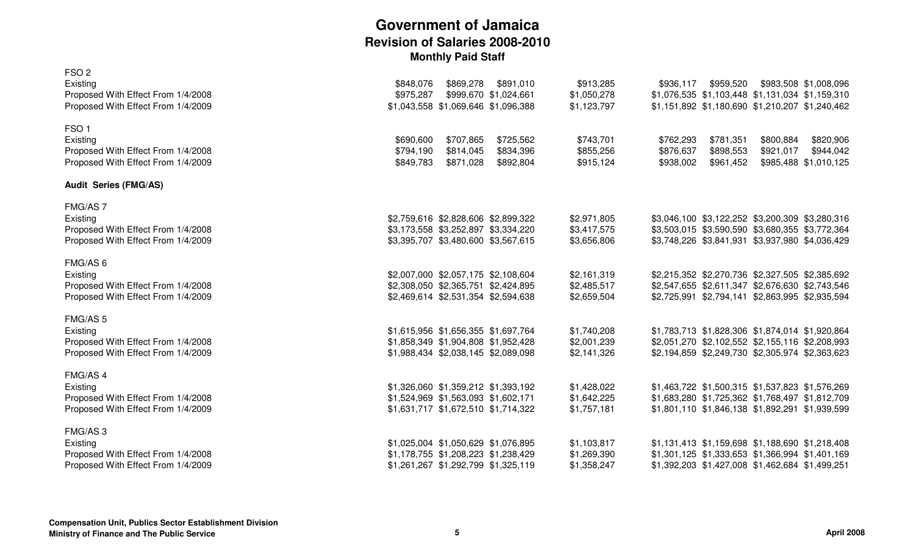| FSO <sub>2</sub><br>Existing<br>Proposed With Effect From 1/4/2008<br>Proposed With Effect From 1/4/2009 | \$869,278<br>\$891,010<br>\$848,076<br>\$975,287<br>\$999,670 \$1,024,661<br>\$1,043,558 \$1,069,646 \$1,096,388  | \$913,285<br>\$1,050,278<br>\$1,123,797   | \$959,520<br>\$936,117                                                     | \$983,508 \$1,008,096<br>\$1,076,535 \$1,103,448 \$1,131,034 \$1,159,310<br>\$1,151,892 \$1,180,690 \$1,210,207 \$1,240,462                           |
|----------------------------------------------------------------------------------------------------------|-------------------------------------------------------------------------------------------------------------------|-------------------------------------------|----------------------------------------------------------------------------|-------------------------------------------------------------------------------------------------------------------------------------------------------|
| FSO <sub>1</sub><br>Existing<br>Proposed With Effect From 1/4/2008<br>Proposed With Effect From 1/4/2009 | \$707,865<br>\$690,600<br>\$725,562<br>\$794,190<br>\$814,045<br>\$834,396<br>\$871,028<br>\$849,783<br>\$892,804 | \$743,701<br>\$855,256<br>\$915,124       | \$781,351<br>\$762,293<br>\$876,637<br>\$898,553<br>\$938,002<br>\$961,452 | \$820,906<br>\$800,884<br>\$944,042<br>\$921,017<br>\$985,488 \$1,010,125                                                                             |
| <b>Audit Series (FMG/AS)</b>                                                                             |                                                                                                                   |                                           |                                                                            |                                                                                                                                                       |
| FMG/AS 7<br>Existing<br>Proposed With Effect From 1/4/2008<br>Proposed With Effect From 1/4/2009         | \$2,759,616 \$2,828,606 \$2,899,322<br>\$3,173,558 \$3,252,897 \$3,334,220<br>\$3,395,707 \$3,480,600 \$3,567,615 | \$2,971,805<br>\$3,417,575<br>\$3,656,806 |                                                                            | \$3,046,100 \$3,122,252 \$3,200,309 \$3,280,316<br>\$3,503,015 \$3,590,590 \$3,680,355 \$3,772,364<br>\$3,748,226 \$3,841,931 \$3,937,980 \$4,036,429 |
| FMG/AS 6<br>Existing<br>Proposed With Effect From 1/4/2008<br>Proposed With Effect From 1/4/2009         | \$2,007,000 \$2,057,175 \$2,108,604<br>\$2,308,050 \$2,365,751 \$2,424,895<br>\$2,469,614 \$2,531,354 \$2,594,638 | \$2,161,319<br>\$2,485,517<br>\$2,659,504 |                                                                            | \$2,215,352 \$2,270,736 \$2,327,505 \$2,385,692<br>\$2,547,655 \$2,611,347 \$2,676,630 \$2,743,546<br>\$2,725,991 \$2,794,141 \$2,863,995 \$2,935,594 |
| FMG/AS 5<br>Existing<br>Proposed With Effect From 1/4/2008<br>Proposed With Effect From 1/4/2009         | \$1,615,956 \$1,656,355 \$1,697,764<br>\$1,858,349 \$1,904,808 \$1,952,428<br>\$1,988,434 \$2,038,145 \$2,089,098 | \$1,740,208<br>\$2,001,239<br>\$2,141,326 |                                                                            | \$1,783,713 \$1,828,306 \$1,874,014 \$1,920,864<br>\$2,051,270 \$2,102,552 \$2,155,116 \$2,208,993<br>\$2,194,859 \$2,249,730 \$2,305,974 \$2,363,623 |
| FMG/AS 4<br>Existing<br>Proposed With Effect From 1/4/2008<br>Proposed With Effect From 1/4/2009         | \$1,326,060 \$1,359,212 \$1,393,192<br>\$1,524,969 \$1,563,093 \$1,602,171<br>\$1,631,717 \$1,672,510 \$1,714,322 | \$1,428,022<br>\$1,642,225<br>\$1,757,181 |                                                                            | \$1,463,722 \$1,500,315 \$1,537,823 \$1,576,269<br>\$1,683,280 \$1,725,362 \$1,768,497 \$1,812,709<br>\$1,801,110 \$1,846,138 \$1,892,291 \$1,939,599 |
| FMG/AS3<br>Existing<br>Proposed With Effect From 1/4/2008<br>Proposed With Effect From 1/4/2009          | \$1,025,004 \$1,050,629 \$1,076,895<br>\$1,178,755 \$1,208,223 \$1,238,429<br>\$1,261,267 \$1,292,799 \$1,325,119 | \$1,103,817<br>\$1,269,390<br>\$1,358,247 |                                                                            | \$1,131,413 \$1,159,698 \$1,188,690 \$1,218,408<br>\$1,301,125 \$1,333,653 \$1,366,994 \$1,401,169<br>\$1,392,203 \$1,427,008 \$1,462,684 \$1,499,251 |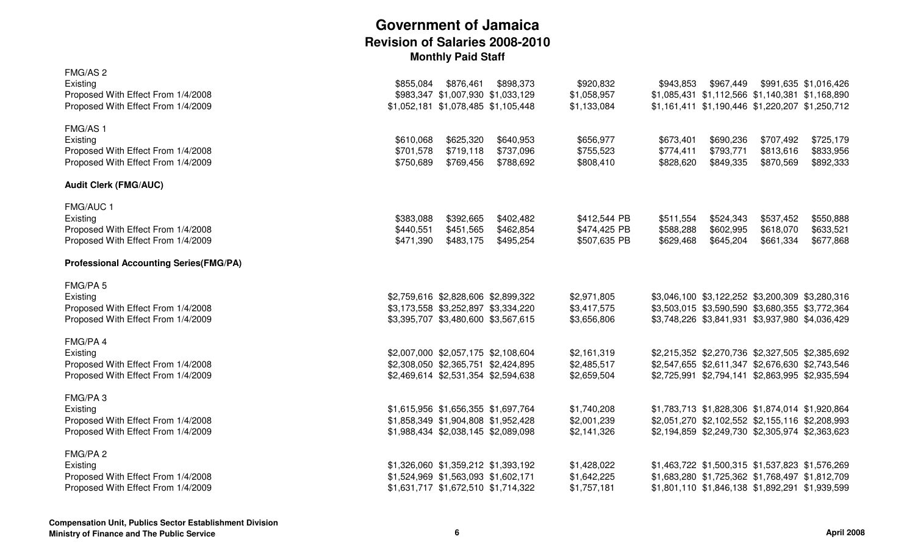| FMG/AS <sub>2</sub><br>Existing<br>Proposed With Effect From 1/4/2008<br>Proposed With Effect From 1/4/2009 | \$855,084<br>\$876,461<br>\$983,347 \$1,007,930 \$1,033,129<br>\$1,052,181 \$1,078,485 \$1,105,448                | \$898,373                           | \$920,832<br>\$1,058,957<br>\$1,133,084      | \$943,853                           | \$967,449<br>\$1,085,431 \$1,112,566 \$1,140,381 \$1,168,890<br>\$1,161,411 \$1,190,446 \$1,220,207 \$1,250,712                                       |                                     | \$991,635 \$1,016,426               |
|-------------------------------------------------------------------------------------------------------------|-------------------------------------------------------------------------------------------------------------------|-------------------------------------|----------------------------------------------|-------------------------------------|-------------------------------------------------------------------------------------------------------------------------------------------------------|-------------------------------------|-------------------------------------|
| FMG/AS 1<br>Existing<br>Proposed With Effect From 1/4/2008<br>Proposed With Effect From 1/4/2009            | \$610,068<br>\$625,320<br>\$719,118<br>\$701,578<br>\$750,689<br>\$769,456                                        | \$640,953<br>\$737,096<br>\$788,692 | \$656,977<br>\$755,523<br>\$808,410          | \$673,401<br>\$774,411<br>\$828,620 | \$690,236<br>\$793,771<br>\$849,335                                                                                                                   | \$707,492<br>\$813,616<br>\$870,569 | \$725,179<br>\$833,956<br>\$892,333 |
| <b>Audit Clerk (FMG/AUC)</b>                                                                                |                                                                                                                   |                                     |                                              |                                     |                                                                                                                                                       |                                     |                                     |
| FMG/AUC 1<br>Existing<br>Proposed With Effect From 1/4/2008<br>Proposed With Effect From 1/4/2009           | \$383,088<br>\$392,665<br>\$440,551<br>\$451,565<br>\$471,390<br>\$483,175                                        | \$402,482<br>\$462,854<br>\$495,254 | \$412,544 PB<br>\$474,425 PB<br>\$507,635 PB | \$511,554<br>\$588,288<br>\$629,468 | \$524,343<br>\$602,995<br>\$645,204                                                                                                                   | \$537,452<br>\$618,070<br>\$661,334 | \$550,888<br>\$633,521<br>\$677,868 |
| <b>Professional Accounting Series(FMG/PA)</b>                                                               |                                                                                                                   |                                     |                                              |                                     |                                                                                                                                                       |                                     |                                     |
| FMG/PA 5<br>Existing<br>Proposed With Effect From 1/4/2008<br>Proposed With Effect From 1/4/2009            | \$2,759,616 \$2,828,606 \$2,899,322<br>\$3,173,558 \$3,252,897 \$3,334,220<br>\$3,395,707 \$3,480,600 \$3,567,615 |                                     | \$2,971,805<br>\$3,417,575<br>\$3,656,806    |                                     | \$3,046,100 \$3,122,252 \$3,200,309 \$3,280,316<br>\$3,503,015 \$3,590,590 \$3,680,355 \$3,772,364<br>\$3,748,226 \$3,841,931 \$3,937,980 \$4,036,429 |                                     |                                     |
| FMG/PA 4<br>Existing<br>Proposed With Effect From 1/4/2008<br>Proposed With Effect From 1/4/2009            | \$2,007,000 \$2,057,175 \$2,108,604<br>\$2,308,050 \$2,365,751 \$2,424,895<br>\$2,469,614 \$2,531,354 \$2,594,638 |                                     | \$2,161,319<br>\$2,485,517<br>\$2,659,504    |                                     | \$2,215,352 \$2,270,736 \$2,327,505 \$2,385,692<br>\$2,547,655 \$2,611,347 \$2,676,630 \$2,743,546<br>\$2,725,991 \$2,794,141 \$2,863,995 \$2,935,594 |                                     |                                     |
| FMG/PA3<br>Existing<br>Proposed With Effect From 1/4/2008<br>Proposed With Effect From 1/4/2009             | \$1,615,956 \$1,656,355 \$1,697,764<br>\$1,858,349 \$1,904,808 \$1,952,428<br>\$1,988,434 \$2,038,145 \$2,089,098 |                                     | \$1,740,208<br>\$2,001,239<br>\$2,141,326    |                                     | \$1,783,713 \$1,828,306 \$1,874,014 \$1,920,864<br>\$2,051,270 \$2,102,552 \$2,155,116 \$2,208,993<br>\$2,194,859 \$2,249,730 \$2,305,974 \$2,363,623 |                                     |                                     |
| FMG/PA 2<br>Existing<br>Proposed With Effect From 1/4/2008<br>Proposed With Effect From 1/4/2009            | \$1,326,060 \$1,359,212 \$1,393,192<br>\$1,524,969 \$1,563,093 \$1,602,171<br>\$1,631,717 \$1,672,510 \$1,714,322 |                                     | \$1,428,022<br>\$1,642,225<br>\$1,757,181    |                                     | \$1,463,722 \$1,500,315 \$1,537,823 \$1,576,269<br>\$1,683,280 \$1,725,362 \$1,768,497 \$1,812,709<br>\$1,801,110 \$1,846,138 \$1,892,291 \$1,939,599 |                                     |                                     |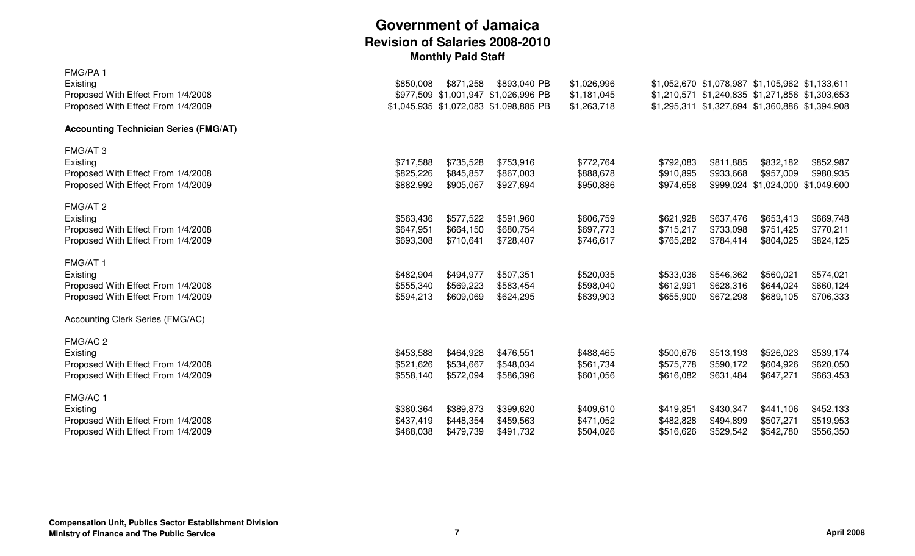| FMG/PA 1<br>Existing<br>Proposed With Effect From 1/4/2008<br>Proposed With Effect From 1/4/2009 | \$850,008                           | \$871,258                           | \$893,040 PB<br>\$977,509 \$1,001,947 \$1,026,996 PB<br>\$1,045,935 \$1,072,083 \$1,098,885 PB | \$1,026,996<br>\$1,181,045<br>\$1,263,718 |                                     |                                     | \$1,052,670 \$1,078,987 \$1,105,962 \$1,133,611<br>\$1,210,571 \$1,240,835 \$1,271,856 \$1,303,653<br>\$1,295,311 \$1,327,694 \$1,360,886 \$1,394,908 |                                     |
|--------------------------------------------------------------------------------------------------|-------------------------------------|-------------------------------------|------------------------------------------------------------------------------------------------|-------------------------------------------|-------------------------------------|-------------------------------------|-------------------------------------------------------------------------------------------------------------------------------------------------------|-------------------------------------|
| <b>Accounting Technician Series (FMG/AT)</b>                                                     |                                     |                                     |                                                                                                |                                           |                                     |                                     |                                                                                                                                                       |                                     |
| FMG/AT 3<br>Existing<br>Proposed With Effect From 1/4/2008<br>Proposed With Effect From 1/4/2009 | \$717,588<br>\$825,226<br>\$882,992 | \$735,528<br>\$845,857<br>\$905,067 | \$753,916<br>\$867,003<br>\$927,694                                                            | \$772,764<br>\$888,678<br>\$950,886       | \$792,083<br>\$910,895<br>\$974,658 | \$811,885<br>\$933,668              | \$832,182<br>\$957,009<br>\$999,024 \$1,024,000 \$1,049,600                                                                                           | \$852,987<br>\$980,935              |
| FMG/AT 2<br>Existing<br>Proposed With Effect From 1/4/2008<br>Proposed With Effect From 1/4/2009 | \$563,436<br>\$647,951<br>\$693,308 | \$577,522<br>\$664,150<br>\$710,641 | \$591,960<br>\$680,754<br>\$728,407                                                            | \$606,759<br>\$697,773<br>\$746,617       | \$621,928<br>\$715,217<br>\$765,282 | \$637,476<br>\$733,098<br>\$784,414 | \$653,413<br>\$751,425<br>\$804,025                                                                                                                   | \$669,748<br>\$770,211<br>\$824,125 |
| FMG/AT 1<br>Existing<br>Proposed With Effect From 1/4/2008<br>Proposed With Effect From 1/4/2009 | \$482,904<br>\$555,340<br>\$594,213 | \$494,977<br>\$569,223<br>\$609,069 | \$507,351<br>\$583,454<br>\$624,295                                                            | \$520,035<br>\$598,040<br>\$639,903       | \$533,036<br>\$612,991<br>\$655,900 | \$546,362<br>\$628,316<br>\$672,298 | \$560,021<br>\$644,024<br>\$689,105                                                                                                                   | \$574,021<br>\$660,124<br>\$706,333 |
| Accounting Clerk Series (FMG/AC)                                                                 |                                     |                                     |                                                                                                |                                           |                                     |                                     |                                                                                                                                                       |                                     |
| FMG/AC 2<br>Existing<br>Proposed With Effect From 1/4/2008<br>Proposed With Effect From 1/4/2009 | \$453,588<br>\$521,626<br>\$558,140 | \$464,928<br>\$534,667<br>\$572,094 | \$476,551<br>\$548,034<br>\$586,396                                                            | \$488,465<br>\$561,734<br>\$601,056       | \$500,676<br>\$575,778<br>\$616,082 | \$513,193<br>\$590,172<br>\$631,484 | \$526,023<br>\$604,926<br>\$647,271                                                                                                                   | \$539,174<br>\$620,050<br>\$663,453 |
| FMG/AC 1<br>Existing<br>Proposed With Effect From 1/4/2008<br>Proposed With Effect From 1/4/2009 | \$380,364<br>\$437,419<br>\$468,038 | \$389,873<br>\$448,354<br>\$479,739 | \$399,620<br>\$459,563<br>\$491,732                                                            | \$409,610<br>\$471,052<br>\$504,026       | \$419,851<br>\$482,828<br>\$516,626 | \$430,347<br>\$494,899<br>\$529,542 | \$441,106<br>\$507,271<br>\$542,780                                                                                                                   | \$452,133<br>\$519,953<br>\$556,350 |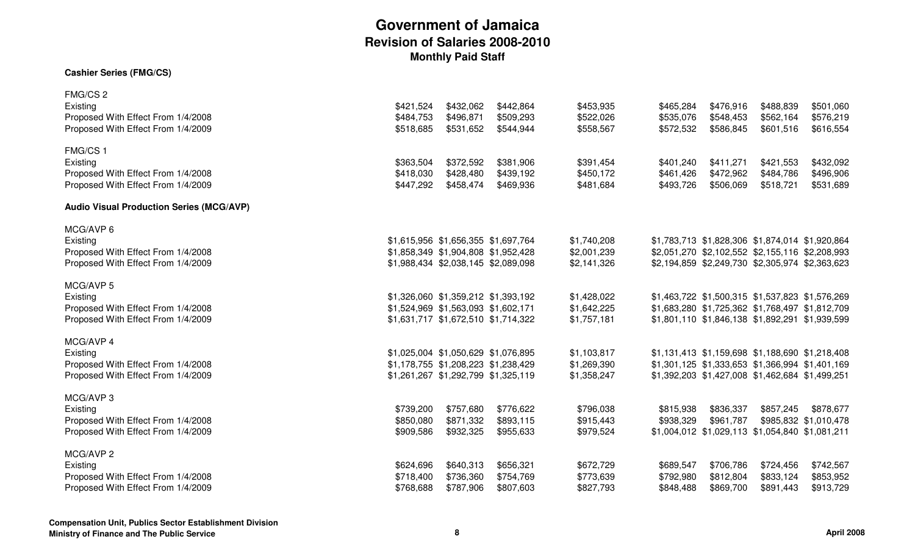#### **Cashier Series (FMG/CS)**

| FMG/CS <sub>2</sub>                             |           |                                     |           |             |           |           |                                                 |                       |
|-------------------------------------------------|-----------|-------------------------------------|-----------|-------------|-----------|-----------|-------------------------------------------------|-----------------------|
| Existing                                        | \$421,524 | \$432,062                           | \$442,864 | \$453,935   | \$465,284 | \$476,916 | \$488,839                                       | \$501,060             |
| Proposed With Effect From 1/4/2008              | \$484,753 | \$496,871                           | \$509,293 | \$522,026   | \$535,076 | \$548,453 | \$562,164                                       | \$576,219             |
| Proposed With Effect From 1/4/2009              | \$518,685 | \$531,652                           | \$544,944 | \$558,567   | \$572,532 | \$586,845 | \$601,516                                       | \$616,554             |
| FMG/CS 1                                        |           |                                     |           |             |           |           |                                                 |                       |
| Existing                                        | \$363,504 | \$372,592                           | \$381,906 | \$391,454   | \$401,240 | \$411,271 | \$421,553                                       | \$432,092             |
| Proposed With Effect From 1/4/2008              | \$418,030 | \$428,480                           | \$439,192 | \$450,172   | \$461,426 | \$472,962 | \$484,786                                       | \$496,906             |
| Proposed With Effect From 1/4/2009              | \$447,292 | \$458,474                           | \$469,936 | \$481,684   | \$493,726 | \$506,069 | \$518,721                                       | \$531,689             |
| <b>Audio Visual Production Series (MCG/AVP)</b> |           |                                     |           |             |           |           |                                                 |                       |
| MCG/AVP 6                                       |           |                                     |           |             |           |           |                                                 |                       |
| Existing                                        |           | \$1,615,956 \$1,656,355 \$1,697,764 |           | \$1,740,208 |           |           | \$1,783,713 \$1,828,306 \$1,874,014 \$1,920,864 |                       |
| Proposed With Effect From 1/4/2008              |           | \$1,858,349 \$1,904,808 \$1,952,428 |           | \$2,001,239 |           |           | \$2,051,270 \$2,102,552 \$2,155,116 \$2,208,993 |                       |
| Proposed With Effect From 1/4/2009              |           | \$1,988,434 \$2,038,145 \$2,089,098 |           | \$2,141,326 |           |           | \$2,194,859 \$2,249,730 \$2,305,974 \$2,363,623 |                       |
| MCG/AVP 5                                       |           |                                     |           |             |           |           |                                                 |                       |
| Existing                                        |           | \$1,326,060 \$1,359,212 \$1,393,192 |           | \$1,428,022 |           |           | \$1,463,722 \$1,500,315 \$1,537,823 \$1,576,269 |                       |
| Proposed With Effect From 1/4/2008              |           | \$1,524,969 \$1,563,093 \$1,602,171 |           | \$1,642,225 |           |           | \$1,683,280 \$1,725,362 \$1,768,497 \$1,812,709 |                       |
| Proposed With Effect From 1/4/2009              |           | \$1,631,717 \$1,672,510 \$1,714,322 |           | \$1,757,181 |           |           | \$1,801,110 \$1,846,138 \$1,892,291 \$1,939,599 |                       |
| MCG/AVP 4                                       |           |                                     |           |             |           |           |                                                 |                       |
| Existing                                        |           | \$1,025,004 \$1,050,629 \$1,076,895 |           | \$1,103,817 |           |           | \$1,131,413 \$1,159,698 \$1,188,690 \$1,218,408 |                       |
| Proposed With Effect From 1/4/2008              |           | \$1,178,755 \$1,208,223 \$1,238,429 |           | \$1,269,390 |           |           | \$1,301,125 \$1,333,653 \$1,366,994 \$1,401,169 |                       |
| Proposed With Effect From 1/4/2009              |           | \$1,261,267 \$1,292,799 \$1,325,119 |           | \$1,358,247 |           |           | \$1,392,203 \$1,427,008 \$1,462,684 \$1,499,251 |                       |
| MCG/AVP 3                                       |           |                                     |           |             |           |           |                                                 |                       |
| Existing                                        | \$739,200 | \$757,680                           | \$776,622 | \$796,038   | \$815,938 | \$836,337 | \$857,245                                       | \$878,677             |
| Proposed With Effect From 1/4/2008              | \$850,080 | \$871,332                           | \$893,115 | \$915,443   | \$938,329 | \$961,787 |                                                 | \$985,832 \$1,010,478 |
| Proposed With Effect From 1/4/2009              | \$909,586 | \$932,325                           | \$955,633 | \$979,524   |           |           | \$1,004,012 \$1,029,113 \$1,054,840 \$1,081,211 |                       |
| MCG/AVP 2                                       |           |                                     |           |             |           |           |                                                 |                       |
| Existing                                        | \$624,696 | \$640,313                           | \$656,321 | \$672,729   | \$689,547 | \$706,786 | \$724,456                                       | \$742,567             |
| Proposed With Effect From 1/4/2008              | \$718,400 | \$736,360                           | \$754,769 | \$773,639   | \$792,980 | \$812,804 | \$833,124                                       | \$853,952             |
| Proposed With Effect From 1/4/2009              | \$768,688 | \$787,906                           | \$807,603 | \$827,793   | \$848,488 | \$869,700 | \$891,443                                       | \$913,729             |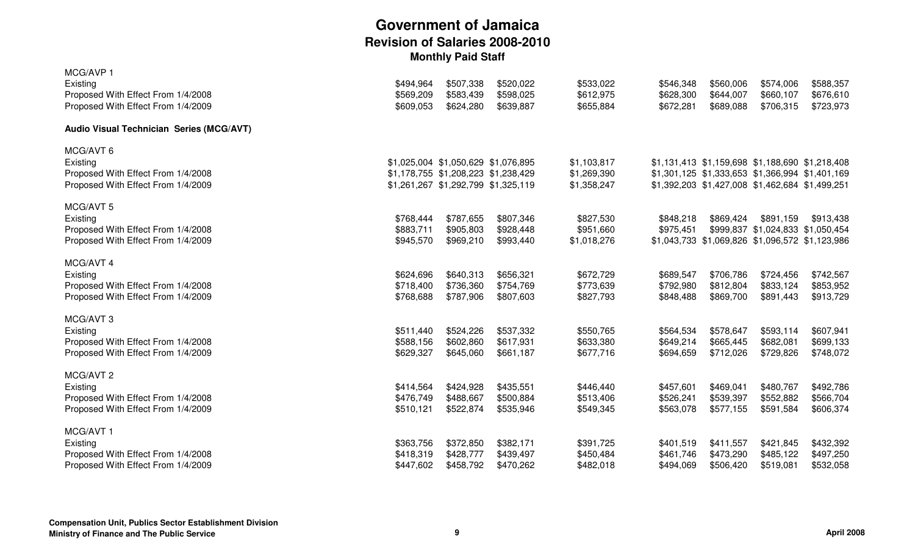| MCG/AVP 1                                |           |                                     |           |             |           |                                                 |                                   |           |
|------------------------------------------|-----------|-------------------------------------|-----------|-------------|-----------|-------------------------------------------------|-----------------------------------|-----------|
| Existing                                 | \$494,964 | \$507,338                           | \$520,022 | \$533,022   | \$546,348 | \$560,006                                       | \$574,006                         | \$588,357 |
| Proposed With Effect From 1/4/2008       | \$569,209 | \$583,439                           | \$598,025 | \$612,975   | \$628,300 | \$644,007                                       | \$660,107                         | \$676,610 |
| Proposed With Effect From 1/4/2009       | \$609,053 | \$624,280                           | \$639,887 | \$655,884   | \$672,281 | \$689,088                                       | \$706,315                         | \$723,973 |
| Audio Visual Technician Series (MCG/AVT) |           |                                     |           |             |           |                                                 |                                   |           |
| MCG/AVT 6                                |           |                                     |           |             |           |                                                 |                                   |           |
| Existing                                 |           | \$1,025,004 \$1,050,629 \$1,076,895 |           | \$1,103,817 |           | \$1,131,413 \$1,159,698 \$1,188,690 \$1,218,408 |                                   |           |
| Proposed With Effect From 1/4/2008       |           | \$1,178,755 \$1,208,223 \$1,238,429 |           | \$1,269,390 |           | \$1,301,125 \$1,333,653 \$1,366,994 \$1,401,169 |                                   |           |
| Proposed With Effect From 1/4/2009       |           | \$1,261,267 \$1,292,799 \$1,325,119 |           | \$1,358,247 |           | \$1,392,203 \$1,427,008 \$1,462,684 \$1,499,251 |                                   |           |
| MCG/AVT 5                                |           |                                     |           |             |           |                                                 |                                   |           |
| Existing                                 | \$768,444 | \$787,655                           | \$807,346 | \$827,530   | \$848,218 | \$869,424                                       | \$891,159                         | \$913,438 |
| Proposed With Effect From 1/4/2008       | \$883,711 | \$905,803                           | \$928,448 | \$951,660   | \$975,451 |                                                 | \$999,837 \$1,024,833 \$1,050,454 |           |
| Proposed With Effect From 1/4/2009       | \$945,570 | \$969,210                           | \$993,440 | \$1,018,276 |           | \$1,043,733 \$1,069,826 \$1,096,572 \$1,123,986 |                                   |           |
| MCG/AVT 4                                |           |                                     |           |             |           |                                                 |                                   |           |
| Existing                                 | \$624,696 | \$640,313                           | \$656,321 | \$672,729   | \$689,547 | \$706,786                                       | \$724,456                         | \$742,567 |
| Proposed With Effect From 1/4/2008       | \$718,400 | \$736,360                           | \$754,769 | \$773,639   | \$792,980 | \$812,804                                       | \$833,124                         | \$853,952 |
| Proposed With Effect From 1/4/2009       | \$768,688 | \$787,906                           | \$807,603 | \$827,793   | \$848,488 | \$869,700                                       | \$891,443                         | \$913,729 |
| MCG/AVT 3                                |           |                                     |           |             |           |                                                 |                                   |           |
| Existing                                 | \$511,440 | \$524,226                           | \$537,332 | \$550,765   | \$564,534 | \$578,647                                       | \$593,114                         | \$607,941 |
| Proposed With Effect From 1/4/2008       | \$588,156 | \$602,860                           | \$617,931 | \$633,380   | \$649,214 | \$665,445                                       | \$682,081                         | \$699,133 |
| Proposed With Effect From 1/4/2009       | \$629,327 | \$645,060                           | \$661,187 | \$677,716   | \$694,659 | \$712,026                                       | \$729,826                         | \$748,072 |
| MCG/AVT 2                                |           |                                     |           |             |           |                                                 |                                   |           |
| Existing                                 | \$414,564 | \$424,928                           | \$435,551 | \$446,440   | \$457,601 | \$469,041                                       | \$480,767                         | \$492,786 |
| Proposed With Effect From 1/4/2008       | \$476,749 | \$488,667                           | \$500,884 | \$513,406   | \$526,241 | \$539,397                                       | \$552,882                         | \$566,704 |
| Proposed With Effect From 1/4/2009       | \$510,121 | \$522,874                           | \$535,946 | \$549,345   | \$563,078 | \$577,155                                       | \$591,584                         | \$606,374 |
| MCG/AVT 1                                |           |                                     |           |             |           |                                                 |                                   |           |
| Existing                                 | \$363,756 | \$372,850                           | \$382,171 | \$391,725   | \$401,519 | \$411,557                                       | \$421,845                         | \$432,392 |
| Proposed With Effect From 1/4/2008       | \$418,319 | \$428,777                           | \$439,497 | \$450,484   | \$461,746 | \$473,290                                       | \$485,122                         | \$497,250 |
| Proposed With Effect From 1/4/2009       | \$447,602 | \$458,792                           | \$470,262 | \$482,018   | \$494,069 | \$506,420                                       | \$519,081                         | \$532,058 |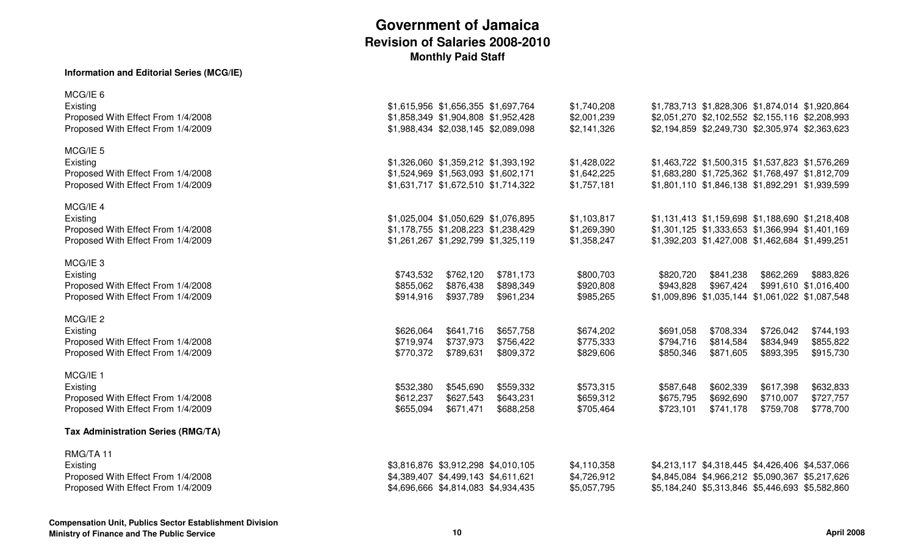#### **Information and Editorial Series (MCG/IE)**

| MCG/IE 5<br>Existing<br>\$1,326,060 \$1,359,212 \$1,393,192<br>\$1,428,022<br>\$1,463,722 \$1,500,315 \$1,537,823 \$1,576,269<br>Proposed With Effect From 1/4/2008<br>\$1,524,969 \$1,563,093 \$1,602,171<br>\$1,642,225<br>\$1,683,280 \$1,725,362 \$1,768,497 \$1,812,709<br>Proposed With Effect From 1/4/2009<br>\$1,631,717 \$1,672,510 \$1,714,322<br>\$1,757,181<br>\$1,801,110 \$1,846,138 \$1,892,291 \$1,939,599<br>MCG/IE 4<br>Existing<br>\$1,025,004 \$1,050,629 \$1,076,895<br>\$1,103,817<br>\$1,131,413 \$1,159,698 \$1,188,690 \$1,218,408 | \$1,783,713 \$1,828,306 \$1,874,014 \$1,920,864<br>\$2,051,270 \$2,102,552 \$2,155,116 \$2,208,993<br>\$2,194,859 \$2,249,730 \$2,305,974 \$2,363,623 |
|--------------------------------------------------------------------------------------------------------------------------------------------------------------------------------------------------------------------------------------------------------------------------------------------------------------------------------------------------------------------------------------------------------------------------------------------------------------------------------------------------------------------------------------------------------------|-------------------------------------------------------------------------------------------------------------------------------------------------------|
|                                                                                                                                                                                                                                                                                                                                                                                                                                                                                                                                                              |                                                                                                                                                       |
| Proposed With Effect From 1/4/2008<br>\$1,269,390<br>\$1,301,125 \$1,333,653 \$1,366,994 \$1,401,169<br>\$1,178,755 \$1,208,223 \$1,238,429<br>Proposed With Effect From 1/4/2009<br>\$1,261,267 \$1,292,799 \$1,325,119<br>\$1,358,247<br>\$1,392,203 \$1,427,008 \$1,462,684 \$1,499,251                                                                                                                                                                                                                                                                   |                                                                                                                                                       |
| MCG/IE <sub>3</sub><br>Existing<br>\$762,120<br>\$781,173<br>\$800,703<br>\$820,720<br>\$841,238<br>\$862,269<br>\$883,826<br>\$743,532<br>Proposed With Effect From 1/4/2008<br>\$855,062<br>\$876,438<br>\$898,349<br>\$920,808<br>\$943,828<br>\$967,424<br>\$991,610 \$1,016,400<br>Proposed With Effect From 1/4/2009<br>\$914,916<br>\$937,789<br>\$961,234<br>\$985,265<br>\$1,009,896 \$1,035,144 \$1,061,022 \$1,087,548                                                                                                                            |                                                                                                                                                       |
| MCG/IE 2<br>\$641,716<br>\$657,758<br>\$674,202<br>\$708,334<br>\$726,042<br>\$744,193<br>Existing<br>\$626,064<br>\$691,058<br>Proposed With Effect From 1/4/2008<br>\$719,974<br>\$737,973<br>\$756,422<br>\$775,333<br>\$794,716<br>\$814,584<br>\$834,949<br>\$855,822<br>Proposed With Effect From 1/4/2009<br>\$915,730<br>\$770,372<br>\$789,631<br>\$809,372<br>\$829,606<br>\$850,346<br>\$871,605<br>\$893,395                                                                                                                                     |                                                                                                                                                       |
| MCG/IE 1<br>\$573,315<br>\$617,398<br>\$632,833<br>Existing<br>\$532,380<br>\$545,690<br>\$559,332<br>\$587,648<br>\$602,339<br>Proposed With Effect From 1/4/2008<br>\$612,237<br>\$627,543<br>\$643,231<br>\$659,312<br>\$692,690<br>\$710,007<br>\$727,757<br>\$675,795<br>Proposed With Effect From 1/4/2009<br>\$778,700<br>\$655,094<br>\$671,471<br>\$688,258<br>\$705,464<br>\$723,101<br>\$741,178<br>\$759,708                                                                                                                                     |                                                                                                                                                       |
| <b>Tax Administration Series (RMG/TA)</b>                                                                                                                                                                                                                                                                                                                                                                                                                                                                                                                    |                                                                                                                                                       |
| RMG/TA 11<br>Existing<br>\$3,816,876 \$3,912,298 \$4,010,105<br>\$4,110,358<br>\$4,213,117 \$4,318,445 \$4,426,406 \$4,537,066<br>Proposed With Effect From 1/4/2008<br>\$4,389,407 \$4,499,143 \$4,611,621<br>\$4,726,912<br>\$4,845,084 \$4,966,212 \$5,090,367 \$5,217,626<br>Proposed With Effect From 1/4/2009<br>\$4,696,666 \$4,814,083 \$4,934,435<br>\$5,057,795<br>\$5,184,240 \$5,313,846 \$5,446,693 \$5,582,860                                                                                                                                 |                                                                                                                                                       |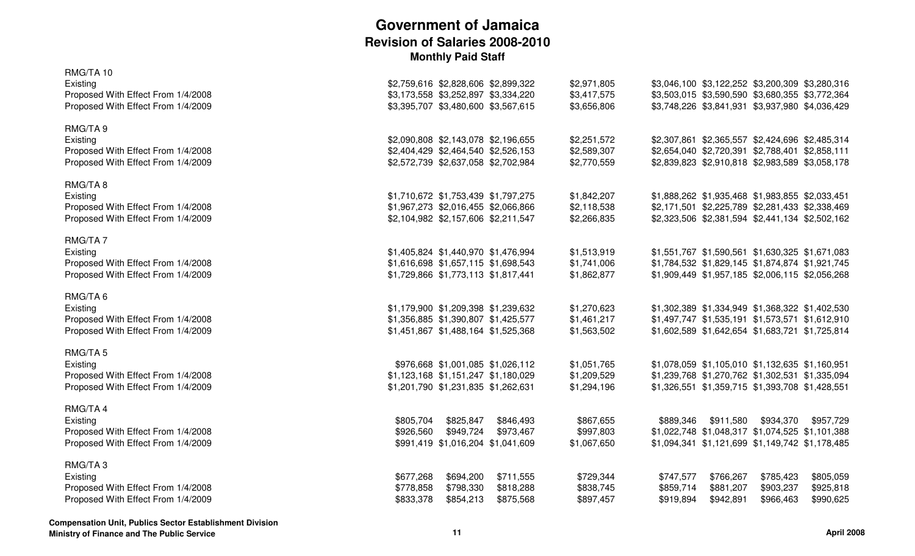| RMG/TA 10<br>Existing<br>Proposed With Effect From 1/4/2008<br>Proposed With Effect From 1/4/2009           | \$2,759,616 \$2,828,606 \$2,899,322<br>\$3,173,558 \$3,252,897 \$3,334,220<br>\$3,395,707 \$3,480,600 \$3,567,615 |                                     | \$2,971,805<br>\$3,417,575<br>\$3,656,806 | \$3,046,100 \$3,122,252 \$3,200,309 \$3,280,316<br>\$3,503,015 \$3,590,590 \$3,680,355 \$3,772,364<br>\$3,748,226 \$3,841,931 \$3,937,980 \$4,036,429 |                                     |                                     |                                     |
|-------------------------------------------------------------------------------------------------------------|-------------------------------------------------------------------------------------------------------------------|-------------------------------------|-------------------------------------------|-------------------------------------------------------------------------------------------------------------------------------------------------------|-------------------------------------|-------------------------------------|-------------------------------------|
| RMG/TA 9<br>Existing<br>Proposed With Effect From 1/4/2008<br>Proposed With Effect From 1/4/2009            | \$2,090,808 \$2,143,078 \$2,196,655<br>\$2,404,429 \$2,464,540 \$2,526,153<br>\$2,572,739 \$2,637,058 \$2,702,984 |                                     | \$2,251,572<br>\$2,589,307<br>\$2,770,559 | \$2,307,861 \$2,365,557 \$2,424,696 \$2,485,314<br>\$2,654,040 \$2,720,391 \$2,788,401 \$2,858,111<br>\$2,839,823 \$2,910,818 \$2,983,589 \$3,058,178 |                                     |                                     |                                     |
| RMG/TA8<br>Existing<br>Proposed With Effect From 1/4/2008<br>Proposed With Effect From 1/4/2009             | \$1,710,672 \$1,753,439 \$1,797,275<br>\$1,967,273 \$2,016,455 \$2,066,866<br>\$2,104,982 \$2,157,606 \$2,211,547 |                                     | \$1,842,207<br>\$2,118,538<br>\$2,266,835 | \$1,888,262 \$1,935,468 \$1,983,855 \$2,033,451<br>\$2,171,501 \$2,225,789 \$2,281,433 \$2,338,469<br>\$2,323,506 \$2,381,594 \$2,441,134 \$2,502,162 |                                     |                                     |                                     |
| RMG/TA7<br>Existing<br>Proposed With Effect From 1/4/2008<br>Proposed With Effect From 1/4/2009             | \$1,405,824 \$1,440,970 \$1,476,994<br>\$1,616,698 \$1,657,115 \$1,698,543<br>\$1,729,866 \$1,773,113 \$1,817,441 |                                     | \$1,513,919<br>\$1,741,006<br>\$1,862,877 | \$1,551,767 \$1,590,561 \$1,630,325 \$1,671,083<br>\$1,784,532 \$1,829,145 \$1,874,874 \$1,921,745<br>\$1,909,449 \$1,957,185 \$2,006,115 \$2,056,268 |                                     |                                     |                                     |
| RMG/TA6<br>Existing<br>Proposed With Effect From 1/4/2008<br>Proposed With Effect From 1/4/2009             | \$1,179,900 \$1,209,398 \$1,239,632<br>\$1,356,885 \$1,390,807 \$1,425,577<br>\$1,451,867 \$1,488,164 \$1,525,368 |                                     | \$1,270,623<br>\$1,461,217<br>\$1,563,502 | \$1,302,389 \$1,334,949 \$1,368,322 \$1,402,530<br>\$1,497,747 \$1,535,191 \$1,573,571 \$1,612,910<br>\$1,602,589 \$1,642,654 \$1,683,721 \$1,725,814 |                                     |                                     |                                     |
| RMG/TA <sub>5</sub><br>Existing<br>Proposed With Effect From 1/4/2008<br>Proposed With Effect From 1/4/2009 | \$976,668 \$1,001,085 \$1,026,112<br>\$1,123,168 \$1,151,247 \$1,180,029<br>\$1,201,790 \$1,231,835 \$1,262,631   |                                     | \$1,051,765<br>\$1,209,529<br>\$1,294,196 | \$1,078,059 \$1,105,010 \$1,132,635 \$1,160,951<br>\$1,239,768 \$1,270,762 \$1,302,531 \$1,335,094<br>\$1,326,551 \$1,359,715 \$1,393,708 \$1,428,551 |                                     |                                     |                                     |
| RMG/TA 4<br>Existing<br>Proposed With Effect From 1/4/2008<br>Proposed With Effect From 1/4/2009            | \$805,704<br>\$825,847<br>\$949,724<br>\$926,560<br>\$991,419 \$1,016,204 \$1,041,609                             | \$846,493<br>\$973,467              | \$867,655<br>\$997,803<br>\$1,067,650     | \$889,346<br>\$1,022,748 \$1,048,317 \$1,074,525 \$1,101,388<br>\$1,094,341 \$1,121,699 \$1,149,742 \$1,178,485                                       | \$911,580                           | \$934,370                           | \$957,729                           |
| RMG/TA3<br>Existing<br>Proposed With Effect From 1/4/2008<br>Proposed With Effect From 1/4/2009             | \$677,268<br>\$694,200<br>\$778,858<br>\$798,330<br>\$833,378<br>\$854,213                                        | \$711,555<br>\$818,288<br>\$875,568 | \$729,344<br>\$838,745<br>\$897,457       | \$747,577<br>\$859,714<br>\$919,894                                                                                                                   | \$766,267<br>\$881,207<br>\$942,891 | \$785,423<br>\$903,237<br>\$966,463 | \$805,059<br>\$925,818<br>\$990,625 |
|                                                                                                             |                                                                                                                   |                                     |                                           |                                                                                                                                                       |                                     |                                     |                                     |

**Compensation Unit, Publics Sector Establishment Division**

**Ministry of Finance and The Public Service**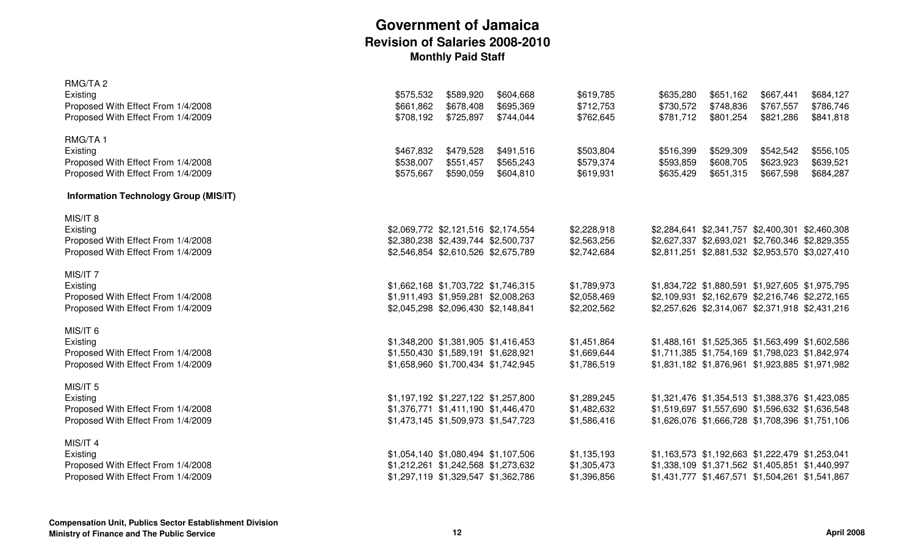| RMG/TA 2                                     |                                     |           |           |             |           |                                                 |           |                                                 |
|----------------------------------------------|-------------------------------------|-----------|-----------|-------------|-----------|-------------------------------------------------|-----------|-------------------------------------------------|
| Existing                                     | \$575,532                           | \$589,920 | \$604,668 | \$619,785   | \$635,280 | \$651,162                                       | \$667,441 | \$684,127                                       |
| Proposed With Effect From 1/4/2008           | \$661,862                           | \$678,408 | \$695,369 | \$712,753   | \$730,572 | \$748,836                                       | \$767,557 | \$786,746                                       |
| Proposed With Effect From 1/4/2009           | \$708,192                           | \$725,897 | \$744,044 | \$762,645   | \$781,712 | \$801,254                                       | \$821,286 | \$841,818                                       |
| RMG/TA1                                      |                                     |           |           |             |           |                                                 |           |                                                 |
| Existing                                     | \$467,832                           | \$479,528 | \$491,516 | \$503,804   | \$516,399 | \$529,309                                       | \$542,542 | \$556,105                                       |
| Proposed With Effect From 1/4/2008           | \$538,007                           | \$551,457 | \$565,243 | \$579,374   | \$593,859 | \$608,705                                       | \$623,923 | \$639,521                                       |
| Proposed With Effect From 1/4/2009           | \$575,667                           | \$590,059 | \$604,810 | \$619,931   | \$635,429 | \$651,315                                       | \$667,598 | \$684,287                                       |
| <b>Information Technology Group (MIS/IT)</b> |                                     |           |           |             |           |                                                 |           |                                                 |
| MIS/IT 8                                     |                                     |           |           |             |           |                                                 |           |                                                 |
| Existing                                     | \$2,069,772 \$2,121,516 \$2,174,554 |           |           | \$2,228,918 |           | \$2,284,641 \$2,341,757 \$2,400,301 \$2,460,308 |           |                                                 |
| Proposed With Effect From 1/4/2008           | \$2,380,238 \$2,439,744 \$2,500,737 |           |           | \$2,563,256 |           | \$2,627,337 \$2,693,021 \$2,760,346 \$2,829,355 |           |                                                 |
| Proposed With Effect From 1/4/2009           | \$2,546,854 \$2,610,526 \$2,675,789 |           |           | \$2,742,684 |           |                                                 |           | \$2,811,251 \$2,881,532 \$2,953,570 \$3,027,410 |
|                                              |                                     |           |           |             |           |                                                 |           |                                                 |
| MIS/IT <sub>7</sub>                          |                                     |           |           |             |           |                                                 |           |                                                 |
| Existing                                     | \$1,662,168 \$1,703,722 \$1,746,315 |           |           | \$1,789,973 |           | \$1,834,722 \$1,880,591 \$1,927,605 \$1,975,795 |           |                                                 |
| Proposed With Effect From 1/4/2008           | \$1,911,493 \$1,959,281 \$2,008,263 |           |           | \$2,058,469 |           | \$2,109,931 \$2,162,679 \$2,216,746 \$2,272,165 |           |                                                 |
| Proposed With Effect From 1/4/2009           | \$2,045,298 \$2,096,430 \$2,148,841 |           |           | \$2,202,562 |           | \$2,257,626 \$2,314,067 \$2,371,918 \$2,431,216 |           |                                                 |
|                                              |                                     |           |           |             |           |                                                 |           |                                                 |
| MIS/IT 6                                     |                                     |           |           |             |           |                                                 |           |                                                 |
| Existing                                     | \$1,348,200 \$1,381,905 \$1,416,453 |           |           | \$1,451,864 |           |                                                 |           | \$1,488,161 \$1,525,365 \$1,563,499 \$1,602,586 |
| Proposed With Effect From 1/4/2008           | \$1,550,430 \$1,589,191 \$1,628,921 |           |           | \$1,669,644 |           | \$1,711,385 \$1,754,169 \$1,798,023 \$1,842,974 |           |                                                 |
| Proposed With Effect From 1/4/2009           | \$1,658,960 \$1,700,434 \$1,742,945 |           |           | \$1,786,519 |           |                                                 |           | \$1,831,182 \$1,876,961 \$1,923,885 \$1,971,982 |
|                                              |                                     |           |           |             |           |                                                 |           |                                                 |
| MIS/IT 5                                     |                                     |           |           |             |           |                                                 |           |                                                 |
| Existing                                     | \$1,197,192 \$1,227,122 \$1,257,800 |           |           | \$1,289,245 |           | \$1,321,476 \$1,354,513 \$1,388,376 \$1,423,085 |           |                                                 |
| Proposed With Effect From 1/4/2008           | \$1,376,771 \$1,411,190 \$1,446,470 |           |           | \$1,482,632 |           | \$1,519,697 \$1,557,690 \$1,596,632 \$1,636,548 |           |                                                 |
| Proposed With Effect From 1/4/2009           | \$1,473,145 \$1,509,973 \$1,547,723 |           |           | \$1,586,416 |           | \$1,626,076 \$1,666,728 \$1,708,396 \$1,751,106 |           |                                                 |
|                                              |                                     |           |           |             |           |                                                 |           |                                                 |
| MIS/IT 4                                     |                                     |           |           |             |           |                                                 |           |                                                 |
| Existing                                     | \$1,054,140 \$1,080,494 \$1,107,506 |           |           | \$1,135,193 |           | \$1,163,573 \$1,192,663 \$1,222,479 \$1,253,041 |           |                                                 |
| Proposed With Effect From 1/4/2008           | \$1,212,261 \$1,242,568 \$1,273,632 |           |           | \$1,305,473 |           | \$1,338,109 \$1,371,562 \$1,405,851 \$1,440,997 |           |                                                 |
| Proposed With Effect From 1/4/2009           | \$1,297,119 \$1,329,547 \$1,362,786 |           |           | \$1,396,856 |           | \$1,431,777 \$1,467,571 \$1,504,261 \$1,541,867 |           |                                                 |
|                                              |                                     |           |           |             |           |                                                 |           |                                                 |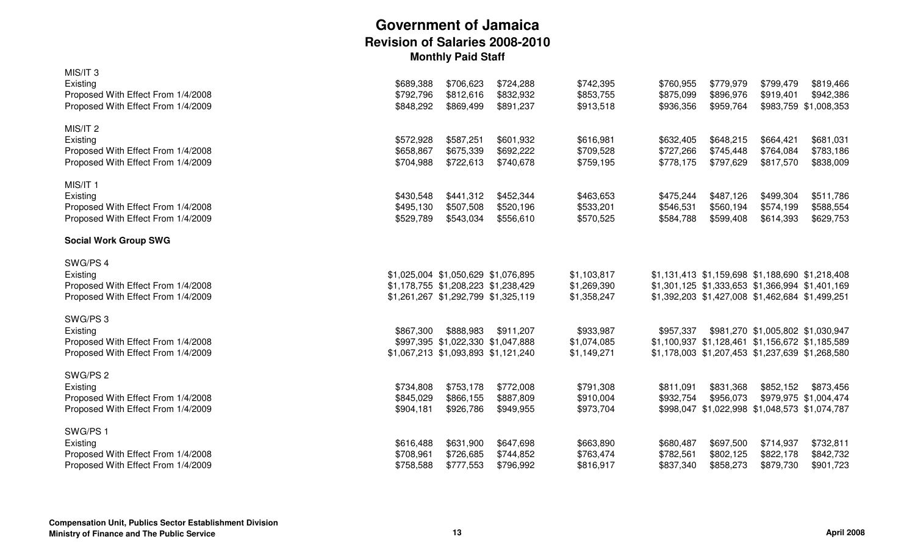| MIS/IT <sub>3</sub><br>Existing<br>Proposed With Effect From 1/4/2008<br>Proposed With Effect From 1/4/2009 | \$689,388<br>\$792,796<br>\$848,292 | \$706,623<br>\$812,616<br>\$869,499                                                                               | \$724,288<br>\$832,932<br>\$891,237 | \$742,395<br>\$853,755<br>\$913,518       | \$760,955<br>\$875,099<br>\$936,356 | \$779,979<br>\$896,976<br>\$959,764                                                                                                                   | \$799,479<br>\$919,401              | \$819,466<br>\$942,386<br>\$983,759 \$1,008,353 |
|-------------------------------------------------------------------------------------------------------------|-------------------------------------|-------------------------------------------------------------------------------------------------------------------|-------------------------------------|-------------------------------------------|-------------------------------------|-------------------------------------------------------------------------------------------------------------------------------------------------------|-------------------------------------|-------------------------------------------------|
| MIS/IT <sub>2</sub><br>Existing<br>Proposed With Effect From 1/4/2008<br>Proposed With Effect From 1/4/2009 | \$572,928<br>\$658,867<br>\$704,988 | \$587,251<br>\$675,339<br>\$722,613                                                                               | \$601,932<br>\$692,222<br>\$740,678 | \$616,981<br>\$709,528<br>\$759,195       | \$632,405<br>\$727,266<br>\$778,175 | \$648,215<br>\$745,448<br>\$797,629                                                                                                                   | \$664,421<br>\$764,084<br>\$817,570 | \$681,031<br>\$783,186<br>\$838,009             |
| MIS/IT 1<br>Existing<br>Proposed With Effect From 1/4/2008<br>Proposed With Effect From 1/4/2009            | \$430,548<br>\$495,130<br>\$529,789 | \$441,312<br>\$507,508<br>\$543,034                                                                               | \$452,344<br>\$520,196<br>\$556,610 | \$463,653<br>\$533,201<br>\$570,525       | \$475,244<br>\$546,531<br>\$584,788 | \$487,126<br>\$560,194<br>\$599,408                                                                                                                   | \$499,304<br>\$574,199<br>\$614,393 | \$511,786<br>\$588,554<br>\$629,753             |
| <b>Social Work Group SWG</b>                                                                                |                                     |                                                                                                                   |                                     |                                           |                                     |                                                                                                                                                       |                                     |                                                 |
| SWG/PS 4<br>Existing<br>Proposed With Effect From 1/4/2008<br>Proposed With Effect From 1/4/2009            |                                     | \$1,025,004 \$1,050,629 \$1,076,895<br>\$1,178,755 \$1,208,223 \$1,238,429<br>\$1,261,267 \$1,292,799 \$1,325,119 |                                     | \$1,103,817<br>\$1,269,390<br>\$1,358,247 |                                     | \$1,131,413 \$1,159,698 \$1,188,690 \$1,218,408<br>\$1,301,125 \$1,333,653 \$1,366,994 \$1,401,169<br>\$1,392,203 \$1,427,008 \$1,462,684 \$1,499,251 |                                     |                                                 |
| SWG/PS 3<br>Existing<br>Proposed With Effect From 1/4/2008<br>Proposed With Effect From 1/4/2009            | \$867,300                           | \$888,983<br>\$997,395 \$1,022,330 \$1,047,888<br>\$1,067,213 \$1,093,893 \$1,121,240                             | \$911,207                           | \$933,987<br>\$1,074,085<br>\$1,149,271   | \$957,337                           | \$1,100,937 \$1,128,461 \$1,156,672 \$1,185,589                                                                                                       | \$981,270 \$1,005,802 \$1,030,947   | \$1,178,003 \$1,207,453 \$1,237,639 \$1,268,580 |
| SWG/PS 2<br>Existing<br>Proposed With Effect From 1/4/2008<br>Proposed With Effect From 1/4/2009            | \$734,808<br>\$845,029<br>\$904,181 | \$753,178<br>\$866,155<br>\$926,786                                                                               | \$772,008<br>\$887,809<br>\$949,955 | \$791,308<br>\$910,004<br>\$973,704       | \$811,091<br>\$932,754              | \$831,368<br>\$956,073<br>\$998,047 \$1,022,998 \$1,048,573 \$1,074,787                                                                               | \$852,152                           | \$873,456<br>\$979,975 \$1,004,474              |
| SWG/PS 1<br>Existing<br>Proposed With Effect From 1/4/2008<br>Proposed With Effect From 1/4/2009            | \$616,488<br>\$708,961<br>\$758,588 | \$631,900<br>\$726,685<br>\$777,553                                                                               | \$647,698<br>\$744,852<br>\$796,992 | \$663,890<br>\$763,474<br>\$816,917       | \$680,487<br>\$782,561<br>\$837,340 | \$697,500<br>\$802,125<br>\$858,273                                                                                                                   | \$714,937<br>\$822,178<br>\$879,730 | \$732,811<br>\$842,732<br>\$901,723             |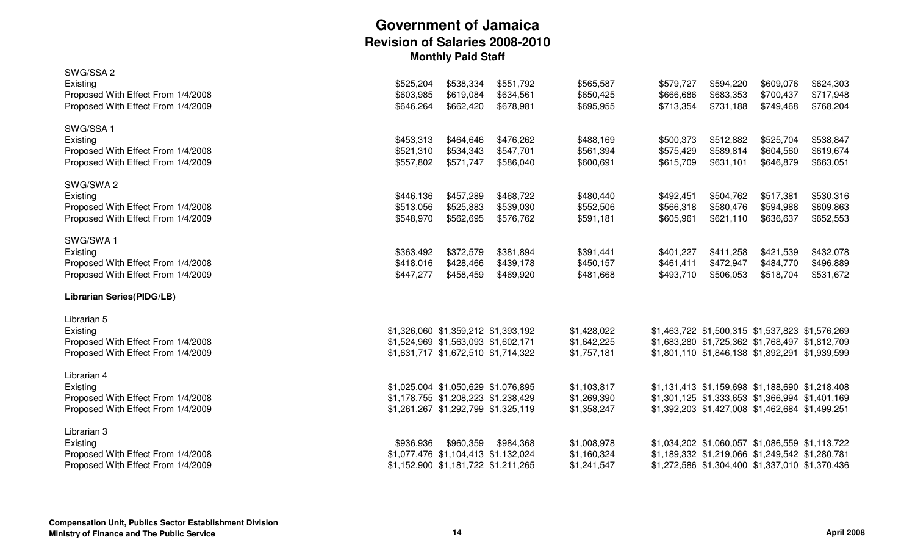| SWG/SSA 2                          |           |                                     |           |             |           |           |                                                 |           |
|------------------------------------|-----------|-------------------------------------|-----------|-------------|-----------|-----------|-------------------------------------------------|-----------|
| Existing                           | \$525,204 | \$538,334                           | \$551,792 | \$565,587   | \$579,727 | \$594,220 | \$609,076                                       | \$624,303 |
| Proposed With Effect From 1/4/2008 | \$603,985 | \$619,084                           | \$634,561 | \$650,425   | \$666,686 | \$683,353 | \$700,437                                       | \$717,948 |
| Proposed With Effect From 1/4/2009 | \$646,264 | \$662,420                           | \$678,981 | \$695,955   | \$713,354 | \$731,188 | \$749,468                                       | \$768,204 |
| SWG/SSA 1                          |           |                                     |           |             |           |           |                                                 |           |
| Existing                           | \$453,313 | \$464,646                           | \$476,262 | \$488,169   | \$500,373 | \$512,882 | \$525,704                                       | \$538,847 |
| Proposed With Effect From 1/4/2008 | \$521,310 | \$534,343                           | \$547,701 | \$561,394   | \$575,429 | \$589,814 | \$604,560                                       | \$619,674 |
| Proposed With Effect From 1/4/2009 | \$557,802 | \$571,747                           | \$586,040 | \$600,691   | \$615,709 | \$631,101 | \$646,879                                       | \$663,051 |
| SWG/SWA 2                          |           |                                     |           |             |           |           |                                                 |           |
| Existing                           | \$446,136 | \$457,289                           | \$468,722 | \$480,440   | \$492,451 | \$504,762 | \$517,381                                       | \$530,316 |
| Proposed With Effect From 1/4/2008 | \$513,056 | \$525,883                           | \$539,030 | \$552,506   | \$566,318 | \$580,476 | \$594,988                                       | \$609,863 |
| Proposed With Effect From 1/4/2009 | \$548,970 | \$562,695                           | \$576,762 | \$591,181   | \$605,961 | \$621,110 | \$636,637                                       | \$652,553 |
| SWG/SWA1                           |           |                                     |           |             |           |           |                                                 |           |
| Existing                           | \$363,492 | \$372,579                           | \$381,894 | \$391,441   | \$401,227 | \$411,258 | \$421,539                                       | \$432,078 |
| Proposed With Effect From 1/4/2008 | \$418,016 | \$428,466                           | \$439,178 | \$450,157   | \$461,411 | \$472,947 | \$484,770                                       | \$496,889 |
| Proposed With Effect From 1/4/2009 | \$447,277 | \$458,459                           | \$469,920 | \$481,668   | \$493,710 | \$506,053 | \$518,704                                       | \$531,672 |
| <b>Librarian Series(PIDG/LB)</b>   |           |                                     |           |             |           |           |                                                 |           |
| Librarian 5                        |           |                                     |           |             |           |           |                                                 |           |
| Existing                           |           | \$1,326,060 \$1,359,212 \$1,393,192 |           | \$1,428,022 |           |           | \$1,463,722 \$1,500,315 \$1,537,823 \$1,576,269 |           |
| Proposed With Effect From 1/4/2008 |           | \$1,524,969 \$1,563,093 \$1,602,171 |           | \$1,642,225 |           |           | \$1,683,280 \$1,725,362 \$1,768,497 \$1,812,709 |           |
| Proposed With Effect From 1/4/2009 |           | \$1,631,717 \$1,672,510 \$1,714,322 |           | \$1,757,181 |           |           | \$1,801,110 \$1,846,138 \$1,892,291 \$1,939,599 |           |
| Librarian 4                        |           |                                     |           |             |           |           |                                                 |           |
| Existing                           |           | \$1,025,004 \$1,050,629 \$1,076,895 |           | \$1,103,817 |           |           | \$1,131,413 \$1,159,698 \$1,188,690 \$1,218,408 |           |
| Proposed With Effect From 1/4/2008 |           | \$1,178,755 \$1,208,223 \$1,238,429 |           | \$1,269,390 |           |           | \$1,301,125 \$1,333,653 \$1,366,994 \$1,401,169 |           |
| Proposed With Effect From 1/4/2009 |           | \$1,261,267 \$1,292,799 \$1,325,119 |           | \$1,358,247 |           |           | \$1,392,203 \$1,427,008 \$1,462,684 \$1,499,251 |           |
| Librarian 3                        |           |                                     |           |             |           |           |                                                 |           |
| Existing                           | \$936,936 | \$960,359                           | \$984,368 | \$1,008,978 |           |           | \$1,034,202 \$1,060,057 \$1,086,559 \$1,113,722 |           |
| Proposed With Effect From 1/4/2008 |           | \$1,077,476 \$1,104,413 \$1,132,024 |           | \$1,160,324 |           |           | \$1,189,332 \$1,219,066 \$1,249,542 \$1,280,781 |           |
| Proposed With Effect From 1/4/2009 |           | \$1,152,900 \$1,181,722 \$1,211,265 |           | \$1,241,547 |           |           | \$1,272,586 \$1,304,400 \$1,337,010 \$1,370,436 |           |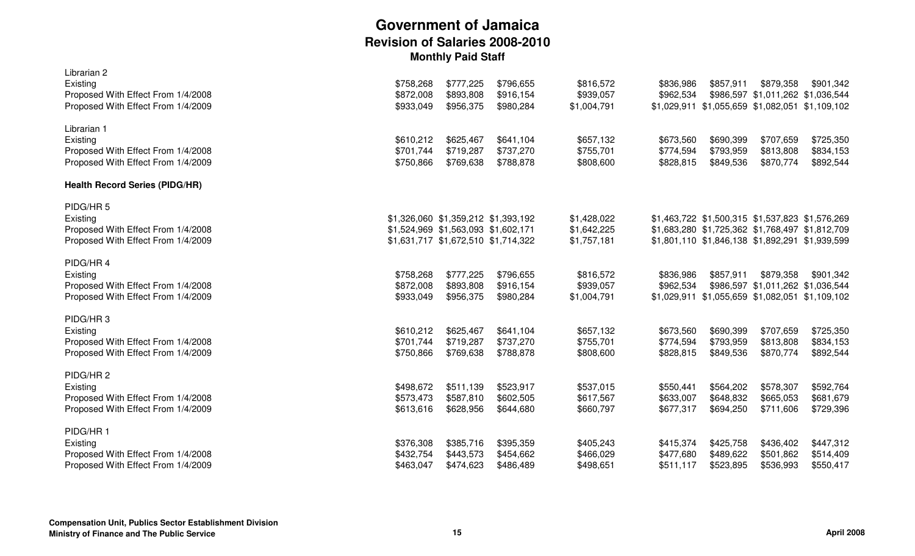| Librarian 2<br>Existing<br>Proposed With Effect From 1/4/2008<br>Proposed With Effect From 1/4/2009          | \$758,268<br>\$872,008<br>\$933,049 | \$777,225<br>\$893,808<br>\$956,375                                                                               | \$796,655<br>\$916,154<br>\$980,284 | \$816,572<br>\$939,057<br>\$1,004,791     | \$836,986<br>\$962,534              | \$857,911                           | \$879,358<br>\$986,597 \$1,011,262 \$1,036,544<br>\$1,029,911 \$1,055,659 \$1,082,051 \$1,109,102                                                     | \$901,342                           |
|--------------------------------------------------------------------------------------------------------------|-------------------------------------|-------------------------------------------------------------------------------------------------------------------|-------------------------------------|-------------------------------------------|-------------------------------------|-------------------------------------|-------------------------------------------------------------------------------------------------------------------------------------------------------|-------------------------------------|
| Librarian 1<br>Existing<br>Proposed With Effect From 1/4/2008<br>Proposed With Effect From 1/4/2009          | \$610,212<br>\$701,744<br>\$750,866 | \$625,467<br>\$719,287<br>\$769,638                                                                               | \$641,104<br>\$737,270<br>\$788,878 | \$657,132<br>\$755,701<br>\$808,600       | \$673,560<br>\$774,594<br>\$828,815 | \$690,399<br>\$793,959<br>\$849,536 | \$707,659<br>\$813,808<br>\$870,774                                                                                                                   | \$725,350<br>\$834,153<br>\$892,544 |
| <b>Health Record Series (PIDG/HR)</b>                                                                        |                                     |                                                                                                                   |                                     |                                           |                                     |                                     |                                                                                                                                                       |                                     |
| PIDG/HR <sub>5</sub><br>Existing<br>Proposed With Effect From 1/4/2008<br>Proposed With Effect From 1/4/2009 |                                     | \$1,326,060 \$1,359,212 \$1,393,192<br>\$1,524,969 \$1,563,093 \$1,602,171<br>\$1,631,717 \$1,672,510 \$1,714,322 |                                     | \$1,428,022<br>\$1,642,225<br>\$1,757,181 |                                     |                                     | \$1,463,722 \$1,500,315 \$1,537,823 \$1,576,269<br>\$1,683,280 \$1,725,362 \$1,768,497 \$1,812,709<br>\$1,801,110 \$1,846,138 \$1,892,291 \$1,939,599 |                                     |
| PIDG/HR4<br>Existing<br>Proposed With Effect From 1/4/2008<br>Proposed With Effect From 1/4/2009             | \$758,268<br>\$872,008<br>\$933,049 | \$777,225<br>\$893,808<br>\$956,375                                                                               | \$796,655<br>\$916,154<br>\$980,284 | \$816,572<br>\$939,057<br>\$1,004,791     | \$836,986<br>\$962,534              | \$857,911                           | \$879,358<br>\$986,597 \$1,011,262 \$1,036,544<br>\$1,029,911 \$1,055,659 \$1,082,051 \$1,109,102                                                     | \$901,342                           |
| PIDG/HR3<br>Existing<br>Proposed With Effect From 1/4/2008<br>Proposed With Effect From 1/4/2009             | \$610,212<br>\$701,744<br>\$750,866 | \$625,467<br>\$719,287<br>\$769,638                                                                               | \$641,104<br>\$737,270<br>\$788,878 | \$657,132<br>\$755,701<br>\$808,600       | \$673,560<br>\$774,594<br>\$828,815 | \$690,399<br>\$793,959<br>\$849,536 | \$707,659<br>\$813,808<br>\$870,774                                                                                                                   | \$725,350<br>\$834,153<br>\$892,544 |
| PIDG/HR 2<br>Existing<br>Proposed With Effect From 1/4/2008<br>Proposed With Effect From 1/4/2009            | \$498,672<br>\$573,473<br>\$613,616 | \$511,139<br>\$587,810<br>\$628,956                                                                               | \$523,917<br>\$602,505<br>\$644,680 | \$537,015<br>\$617,567<br>\$660,797       | \$550,441<br>\$633,007<br>\$677,317 | \$564,202<br>\$648,832<br>\$694,250 | \$578,307<br>\$665,053<br>\$711,606                                                                                                                   | \$592,764<br>\$681,679<br>\$729,396 |
| PIDG/HR 1<br>Existing<br>Proposed With Effect From 1/4/2008<br>Proposed With Effect From 1/4/2009            | \$376,308<br>\$432,754<br>\$463,047 | \$385,716<br>\$443,573<br>\$474,623                                                                               | \$395,359<br>\$454,662<br>\$486,489 | \$405,243<br>\$466,029<br>\$498,651       | \$415,374<br>\$477,680<br>\$511,117 | \$425,758<br>\$489,622<br>\$523,895 | \$436,402<br>\$501,862<br>\$536,993                                                                                                                   | \$447,312<br>\$514,409<br>\$550,417 |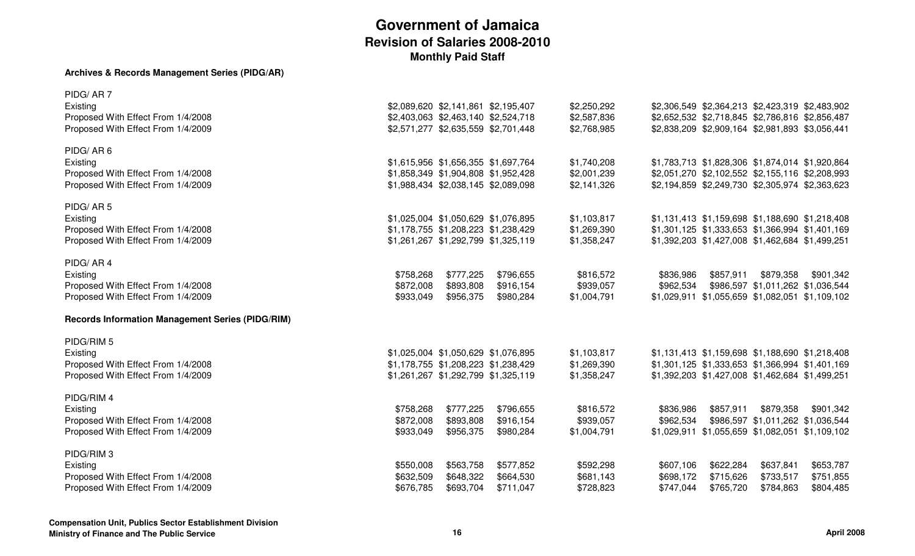#### **Archives & Records Management Series (PIDG/AR)**

| PIDG/AR7                                                |                                     |           |           |             |                                                 |           |                                                 |           |
|---------------------------------------------------------|-------------------------------------|-----------|-----------|-------------|-------------------------------------------------|-----------|-------------------------------------------------|-----------|
| Existing                                                | \$2,089,620 \$2,141,861 \$2,195,407 |           |           | \$2,250,292 | \$2,306,549 \$2,364,213 \$2,423,319 \$2,483,902 |           |                                                 |           |
| Proposed With Effect From 1/4/2008                      | \$2,403,063 \$2,463,140 \$2,524,718 |           |           | \$2,587,836 | \$2,652,532 \$2,718,845 \$2,786,816 \$2,856,487 |           |                                                 |           |
| Proposed With Effect From 1/4/2009                      | \$2,571,277 \$2,635,559 \$2,701,448 |           |           | \$2,768,985 | \$2,838,209 \$2,909,164 \$2,981,893 \$3,056,441 |           |                                                 |           |
|                                                         |                                     |           |           |             |                                                 |           |                                                 |           |
| PIDG/AR6                                                |                                     |           |           |             |                                                 |           |                                                 |           |
| Existing                                                | \$1,615,956 \$1,656,355 \$1,697,764 |           |           | \$1,740,208 | \$1,783,713 \$1,828,306 \$1,874,014 \$1,920,864 |           |                                                 |           |
| Proposed With Effect From 1/4/2008                      | \$1,858,349 \$1,904,808 \$1,952,428 |           |           | \$2,001,239 | \$2,051,270 \$2,102,552 \$2,155,116 \$2,208,993 |           |                                                 |           |
| Proposed With Effect From 1/4/2009                      | \$1,988,434 \$2,038,145 \$2,089,098 |           |           | \$2,141,326 | \$2,194,859 \$2,249,730 \$2,305,974 \$2,363,623 |           |                                                 |           |
|                                                         |                                     |           |           |             |                                                 |           |                                                 |           |
| PIDG/AR5                                                |                                     |           |           |             |                                                 |           |                                                 |           |
| Existing                                                | \$1,025,004 \$1,050,629 \$1,076,895 |           |           | \$1,103,817 | \$1,131,413 \$1,159,698 \$1,188,690 \$1,218,408 |           |                                                 |           |
| Proposed With Effect From 1/4/2008                      | \$1,178,755 \$1,208,223 \$1,238,429 |           |           | \$1,269,390 | \$1,301,125 \$1,333,653 \$1,366,994 \$1,401,169 |           |                                                 |           |
|                                                         |                                     |           |           |             |                                                 |           |                                                 |           |
| Proposed With Effect From 1/4/2009                      | \$1,261,267 \$1,292,799 \$1,325,119 |           |           | \$1,358,247 | \$1,392,203 \$1,427,008 \$1,462,684 \$1,499,251 |           |                                                 |           |
| PIDG/AR4                                                |                                     |           |           |             |                                                 |           |                                                 |           |
|                                                         |                                     |           |           |             |                                                 |           |                                                 |           |
| Existing                                                | \$758,268                           | \$777,225 | \$796,655 | \$816,572   | \$836,986                                       | \$857,911 | \$879,358                                       | \$901,342 |
| Proposed With Effect From 1/4/2008                      | \$872,008                           | \$893,808 | \$916,154 | \$939,057   | \$962,534                                       |           | \$986,597 \$1,011,262 \$1,036,544               |           |
| Proposed With Effect From 1/4/2009                      | \$933,049                           | \$956,375 | \$980,284 | \$1,004,791 | \$1,029,911 \$1,055,659 \$1,082,051 \$1,109,102 |           |                                                 |           |
| <b>Records Information Management Series (PIDG/RIM)</b> |                                     |           |           |             |                                                 |           |                                                 |           |
|                                                         |                                     |           |           |             |                                                 |           |                                                 |           |
| PIDG/RIM 5                                              |                                     |           |           |             |                                                 |           |                                                 |           |
| Existing                                                | \$1,025,004 \$1,050,629 \$1,076,895 |           |           | \$1,103,817 | \$1,131,413 \$1,159,698 \$1,188,690 \$1,218,408 |           |                                                 |           |
| Proposed With Effect From 1/4/2008                      | \$1,178,755 \$1,208,223 \$1,238,429 |           |           | \$1,269,390 | \$1,301,125 \$1,333,653 \$1,366,994 \$1,401,169 |           |                                                 |           |
| Proposed With Effect From 1/4/2009                      | \$1,261,267 \$1,292,799 \$1,325,119 |           |           | \$1,358,247 | \$1,392,203 \$1,427,008 \$1,462,684 \$1,499,251 |           |                                                 |           |
|                                                         |                                     |           |           |             |                                                 |           |                                                 |           |
| PIDG/RIM 4                                              |                                     |           |           |             |                                                 |           |                                                 |           |
| Existing                                                | \$758,268                           | \$777,225 | \$796,655 | \$816,572   | \$836,986                                       | \$857,911 | \$879,358                                       | \$901,342 |
| Proposed With Effect From 1/4/2008                      | \$872,008                           | \$893,808 | \$916,154 | \$939,057   | \$962,534                                       |           | \$986,597 \$1,011,262 \$1,036,544               |           |
| Proposed With Effect From 1/4/2009                      | \$933,049                           | \$956,375 | \$980,284 | \$1,004,791 |                                                 |           | \$1,029,911 \$1,055,659 \$1,082,051 \$1,109,102 |           |
|                                                         |                                     |           |           |             |                                                 |           |                                                 |           |
| PIDG/RIM 3                                              |                                     |           |           |             |                                                 |           |                                                 |           |
| Existing                                                | \$550,008                           | \$563,758 | \$577,852 | \$592,298   | \$607,106                                       | \$622,284 | \$637,841                                       | \$653,787 |
| Proposed With Effect From 1/4/2008                      | \$632,509                           | \$648,322 | \$664,530 | \$681,143   | \$698,172                                       | \$715,626 | \$733,517                                       | \$751,855 |
| Proposed With Effect From 1/4/2009                      | \$676,785                           | \$693,704 | \$711,047 | \$728,823   | \$747,044                                       | \$765,720 | \$784,863                                       | \$804,485 |
|                                                         |                                     |           |           |             |                                                 |           |                                                 |           |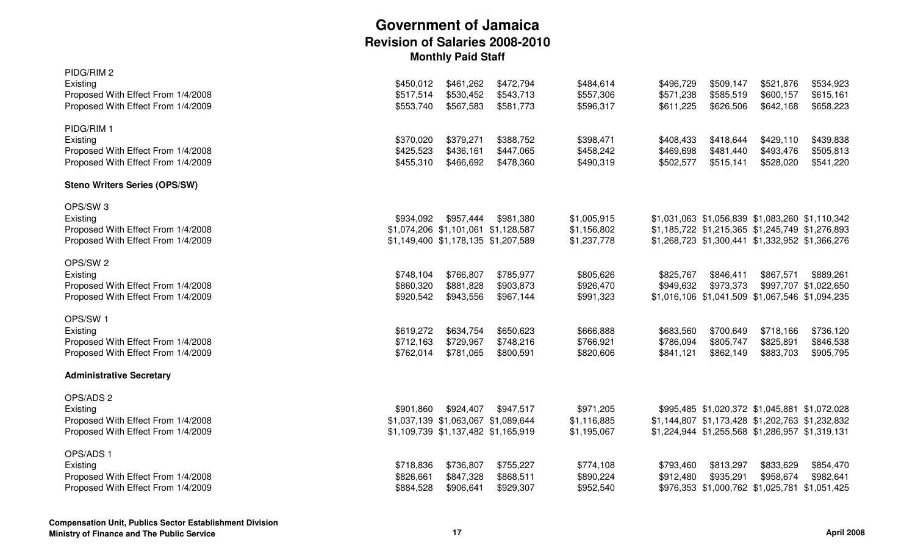| PIDG/RIM 2<br>Existing<br>Proposed With Effect From 1/4/2008<br>Proposed With Effect From 1/4/2009          | \$450,012<br>\$517,514<br>\$553,740 | \$461,262<br>\$530,452<br>\$567,583                                                     | \$472,794<br>\$543,713<br>\$581,773 | \$484,614<br>\$557,306<br>\$596,317       | \$496,729<br>\$571,238<br>\$611,225 | \$509,147<br>\$585,519<br>\$626,506 | \$521,876<br>\$600,157<br>\$642,168                                                                                                                   | \$534,923<br>\$615,161<br>\$658,223 |
|-------------------------------------------------------------------------------------------------------------|-------------------------------------|-----------------------------------------------------------------------------------------|-------------------------------------|-------------------------------------------|-------------------------------------|-------------------------------------|-------------------------------------------------------------------------------------------------------------------------------------------------------|-------------------------------------|
| PIDG/RIM 1<br>Existing<br>Proposed With Effect From 1/4/2008<br>Proposed With Effect From 1/4/2009          | \$370,020<br>\$425,523<br>\$455,310 | \$379,271<br>\$436,161<br>\$466,692                                                     | \$388,752<br>\$447,065<br>\$478,360 | \$398,471<br>\$458,242<br>\$490,319       | \$408,433<br>\$469,698<br>\$502,577 | \$418,644<br>\$481,440<br>\$515,141 | \$429,110<br>\$493,476<br>\$528,020                                                                                                                   | \$439,838<br>\$505,813<br>\$541,220 |
| <b>Steno Writers Series (OPS/SW)</b>                                                                        |                                     |                                                                                         |                                     |                                           |                                     |                                     |                                                                                                                                                       |                                     |
| OPS/SW <sub>3</sub><br>Existing<br>Proposed With Effect From 1/4/2008<br>Proposed With Effect From 1/4/2009 | \$934,092                           | \$957,444<br>\$1,074,206 \$1,101,061 \$1,128,587<br>\$1,149,400 \$1,178,135 \$1,207,589 | \$981,380                           | \$1,005,915<br>\$1,156,802<br>\$1,237,778 |                                     |                                     | \$1,031,063 \$1,056,839 \$1,083,260 \$1,110,342<br>\$1,185,722 \$1,215,365 \$1,245,749 \$1,276,893<br>\$1,268,723 \$1,300,441 \$1,332,952 \$1,366,276 |                                     |
| OPS/SW <sub>2</sub><br>Existing<br>Proposed With Effect From 1/4/2008<br>Proposed With Effect From 1/4/2009 | \$748,104<br>\$860,320<br>\$920,542 | \$766,807<br>\$881,828<br>\$943,556                                                     | \$785,977<br>\$903,873<br>\$967,144 | \$805,626<br>\$926,470<br>\$991,323       | \$825,767<br>\$949,632              | \$846,411<br>\$973,373              | \$867,571<br>\$1,016,106 \$1,041,509 \$1,067,546 \$1,094,235                                                                                          | \$889,261<br>\$997,707 \$1,022,650  |
| OPS/SW 1<br>Existing<br>Proposed With Effect From 1/4/2008<br>Proposed With Effect From 1/4/2009            | \$619,272<br>\$712,163<br>\$762,014 | \$634,754<br>\$729,967<br>\$781,065                                                     | \$650,623<br>\$748,216<br>\$800,591 | \$666,888<br>\$766,921<br>\$820,606       | \$683,560<br>\$786,094<br>\$841,121 | \$700,649<br>\$805,747<br>\$862,149 | \$718,166<br>\$825,891<br>\$883,703                                                                                                                   | \$736,120<br>\$846,538<br>\$905,795 |
| <b>Administrative Secretary</b>                                                                             |                                     |                                                                                         |                                     |                                           |                                     |                                     |                                                                                                                                                       |                                     |
| OPS/ADS 2<br>Existing<br>Proposed With Effect From 1/4/2008<br>Proposed With Effect From 1/4/2009           | \$901,860                           | \$924,407<br>\$1,037,139 \$1,063,067 \$1,089,644<br>\$1,109,739 \$1,137,482 \$1,165,919 | \$947,517                           | \$971,205<br>\$1,116,885<br>\$1,195,067   |                                     |                                     | \$995,485 \$1,020,372 \$1,045,881 \$1,072,028<br>\$1,144,807 \$1,173,428 \$1,202,763 \$1,232,832<br>\$1,224,944 \$1,255,568 \$1,286,957 \$1,319,131   |                                     |
| OPS/ADS 1<br>Existing<br>Proposed With Effect From 1/4/2008<br>Proposed With Effect From 1/4/2009           | \$718,836<br>\$826,661<br>\$884,528 | \$736,807<br>\$847,328<br>\$906,641                                                     | \$755,227<br>\$868,511<br>\$929,307 | \$774,108<br>\$890,224<br>\$952,540       | \$793,460<br>\$912,480              | \$813,297<br>\$935,291              | \$833,629<br>\$958,674<br>\$976,353 \$1,000,762 \$1,025,781 \$1,051,425                                                                               | \$854,470<br>\$982,641              |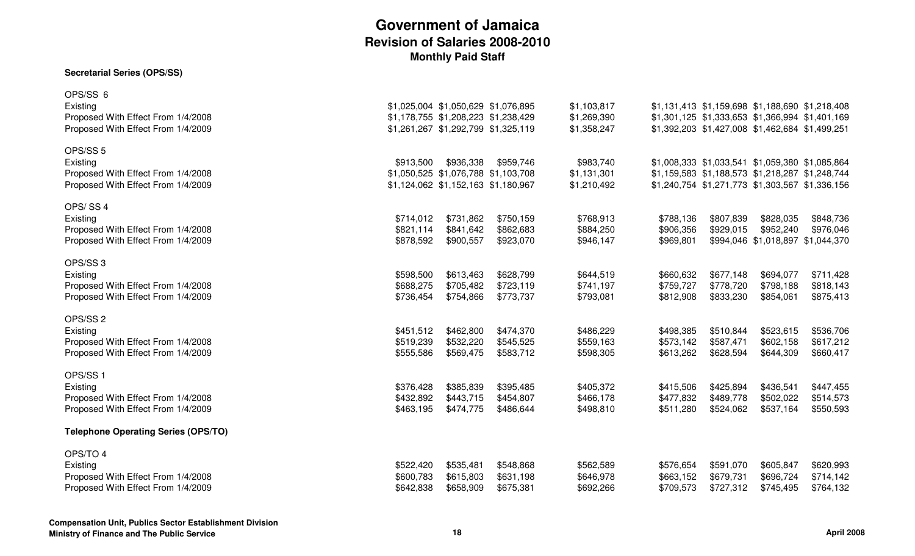#### **Secretarial Series (OPS/SS)**

| OPS/SS 6<br>Existing<br>Proposed With Effect From 1/4/2008<br>Proposed With Effect From 1/4/2009            |                                     | \$1,025,004 \$1,050,629 \$1,076,895<br>\$1,178,755 \$1,208,223 \$1,238,429<br>\$1,261,267 \$1,292,799 \$1,325,119 |                                     | \$1,103,817<br>\$1,269,390<br>\$1,358,247 |                                     | \$1,131,413 \$1,159,698 \$1,188,690 \$1,218,408<br>\$1,301,125 \$1,333,653 \$1,366,994 \$1,401,169<br>\$1,392,203 \$1,427,008 \$1,462,684 \$1,499,251 |                                                             |                                     |
|-------------------------------------------------------------------------------------------------------------|-------------------------------------|-------------------------------------------------------------------------------------------------------------------|-------------------------------------|-------------------------------------------|-------------------------------------|-------------------------------------------------------------------------------------------------------------------------------------------------------|-------------------------------------------------------------|-------------------------------------|
| OPS/SS <sub>5</sub><br>Existing                                                                             | \$913,500                           | \$936,338                                                                                                         | \$959,746                           | \$983,740                                 |                                     | \$1,008,333 \$1,033,541 \$1,059,380 \$1,085,864                                                                                                       |                                                             |                                     |
| Proposed With Effect From 1/4/2008<br>Proposed With Effect From 1/4/2009                                    |                                     | \$1,050,525 \$1,076,788 \$1,103,708<br>\$1,124,062 \$1,152,163 \$1,180,967                                        |                                     | \$1,131,301<br>\$1,210,492                |                                     | \$1,159,583 \$1,188,573 \$1,218,287 \$1,248,744<br>\$1,240,754 \$1,271,773 \$1,303,567 \$1,336,156                                                    |                                                             |                                     |
| OPS/SS4<br>Existing<br>Proposed With Effect From 1/4/2008<br>Proposed With Effect From 1/4/2009             | \$714,012<br>\$821,114<br>\$878,592 | \$731,862<br>\$841,642<br>\$900,557                                                                               | \$750,159<br>\$862,683<br>\$923,070 | \$768,913<br>\$884,250<br>\$946,147       | \$788,136<br>\$906,356<br>\$969,801 | \$807,839<br>\$929,015                                                                                                                                | \$828,035<br>\$952,240<br>\$994,046 \$1,018,897 \$1,044,370 | \$848,736<br>\$976,046              |
| OPS/SS <sub>3</sub><br>Existing<br>Proposed With Effect From 1/4/2008<br>Proposed With Effect From 1/4/2009 | \$598,500<br>\$688,275<br>\$736,454 | \$613,463<br>\$705,482<br>\$754,866                                                                               | \$628,799<br>\$723,119<br>\$773,737 | \$644,519<br>\$741,197<br>\$793,081       | \$660,632<br>\$759,727<br>\$812,908 | \$677,148<br>\$778,720<br>\$833,230                                                                                                                   | \$694,077<br>\$798,188<br>\$854,061                         | \$711,428<br>\$818,143<br>\$875,413 |
| OPS/SS <sub>2</sub><br>Existing<br>Proposed With Effect From 1/4/2008<br>Proposed With Effect From 1/4/2009 | \$451,512<br>\$519,239<br>\$555,586 | \$462,800<br>\$532,220<br>\$569,475                                                                               | \$474,370<br>\$545,525<br>\$583,712 | \$486,229<br>\$559,163<br>\$598,305       | \$498,385<br>\$573,142<br>\$613,262 | \$510,844<br>\$587,471<br>\$628,594                                                                                                                   | \$523,615<br>\$602,158<br>\$644,309                         | \$536,706<br>\$617,212<br>\$660,417 |
| OPS/SS1<br>Existing<br>Proposed With Effect From 1/4/2008<br>Proposed With Effect From 1/4/2009             | \$376,428<br>\$432,892<br>\$463,195 | \$385,839<br>\$443,715<br>\$474,775                                                                               | \$395,485<br>\$454,807<br>\$486,644 | \$405,372<br>\$466,178<br>\$498,810       | \$415,506<br>\$477,832<br>\$511,280 | \$425,894<br>\$489,778<br>\$524,062                                                                                                                   | \$436,541<br>\$502,022<br>\$537,164                         | \$447,455<br>\$514,573<br>\$550,593 |
| <b>Telephone Operating Series (OPS/TO)</b>                                                                  |                                     |                                                                                                                   |                                     |                                           |                                     |                                                                                                                                                       |                                                             |                                     |
| OPS/TO 4<br>Existing<br>Proposed With Effect From 1/4/2008<br>Proposed With Effect From 1/4/2009            | \$522,420<br>\$600,783<br>\$642,838 | \$535,481<br>\$615,803<br>\$658,909                                                                               | \$548,868<br>\$631,198<br>\$675,381 | \$562,589<br>\$646,978<br>\$692,266       | \$576,654<br>\$663,152<br>\$709,573 | \$591,070<br>\$679,731<br>\$727,312                                                                                                                   | \$605,847<br>\$696,724<br>\$745,495                         | \$620,993<br>\$714,142<br>\$764,132 |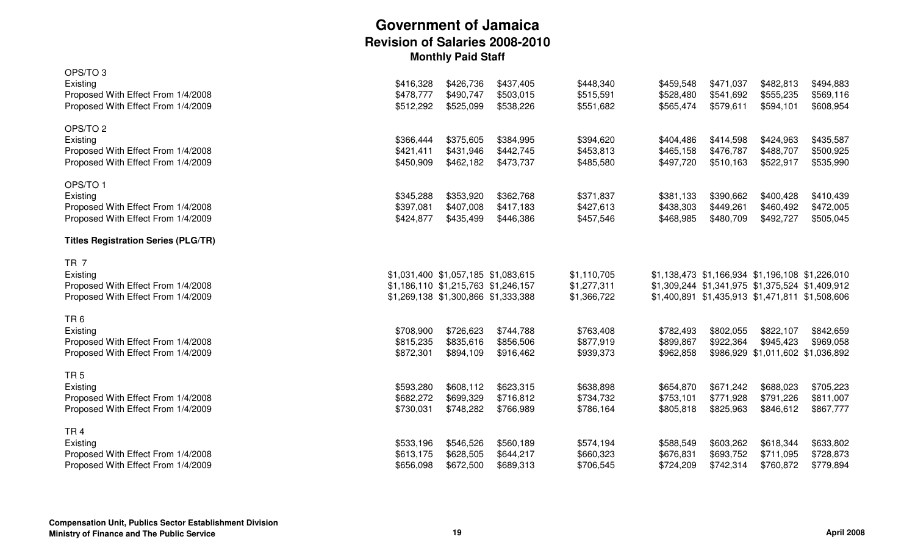| OPS/TO <sub>3</sub>                        |           |                                     |           |             |           |           |                                                 |           |
|--------------------------------------------|-----------|-------------------------------------|-----------|-------------|-----------|-----------|-------------------------------------------------|-----------|
| Existing                                   | \$416,328 | \$426,736                           | \$437,405 | \$448,340   | \$459,548 | \$471,037 | \$482,813                                       | \$494,883 |
| Proposed With Effect From 1/4/2008         | \$478,777 | \$490,747                           | \$503,015 | \$515,591   | \$528,480 | \$541,692 | \$555,235                                       | \$569,116 |
| Proposed With Effect From 1/4/2009         | \$512,292 | \$525,099                           | \$538,226 | \$551,682   | \$565,474 | \$579,611 | \$594,101                                       | \$608,954 |
| OPS/TO <sub>2</sub>                        |           |                                     |           |             |           |           |                                                 |           |
| Existing                                   | \$366,444 | \$375,605                           | \$384,995 | \$394,620   | \$404,486 | \$414,598 | \$424,963                                       | \$435,587 |
| Proposed With Effect From 1/4/2008         | \$421,411 | \$431,946                           | \$442,745 | \$453,813   | \$465,158 | \$476,787 | \$488,707                                       | \$500,925 |
| Proposed With Effect From 1/4/2009         | \$450,909 | \$462,182                           | \$473,737 | \$485,580   | \$497,720 | \$510,163 | \$522,917                                       | \$535,990 |
| OPS/TO 1                                   |           |                                     |           |             |           |           |                                                 |           |
| Existing                                   | \$345,288 | \$353,920                           | \$362,768 | \$371,837   | \$381,133 | \$390,662 | \$400,428                                       | \$410,439 |
| Proposed With Effect From 1/4/2008         | \$397,081 | \$407,008                           | \$417,183 | \$427,613   | \$438,303 | \$449,261 | \$460,492                                       | \$472,005 |
| Proposed With Effect From 1/4/2009         | \$424,877 | \$435,499                           | \$446,386 | \$457,546   | \$468,985 | \$480,709 | \$492,727                                       | \$505,045 |
| <b>Titles Registration Series (PLG/TR)</b> |           |                                     |           |             |           |           |                                                 |           |
| TR <sub>7</sub>                            |           |                                     |           |             |           |           |                                                 |           |
| Existing                                   |           | \$1,031,400 \$1,057,185 \$1,083,615 |           | \$1,110,705 |           |           | \$1,138,473 \$1,166,934 \$1,196,108 \$1,226,010 |           |
| Proposed With Effect From 1/4/2008         |           | \$1,186,110 \$1,215,763 \$1,246,157 |           | \$1,277,311 |           |           | \$1,309,244 \$1,341,975 \$1,375,524 \$1,409,912 |           |
| Proposed With Effect From 1/4/2009         |           | \$1,269,138 \$1,300,866 \$1,333,388 |           | \$1,366,722 |           |           | \$1,400,891 \$1,435,913 \$1,471,811 \$1,508,606 |           |
| TR <sub>6</sub>                            |           |                                     |           |             |           |           |                                                 |           |
| Existing                                   | \$708,900 | \$726,623                           | \$744,788 | \$763,408   | \$782,493 | \$802,055 | \$822,107                                       | \$842,659 |
| Proposed With Effect From 1/4/2008         | \$815,235 | \$835,616                           | \$856,506 | \$877,919   | \$899,867 | \$922,364 | \$945,423                                       | \$969,058 |
| Proposed With Effect From 1/4/2009         | \$872,301 | \$894,109                           | \$916,462 | \$939,373   | \$962,858 |           | \$986,929 \$1,011,602 \$1,036,892               |           |
| TR <sub>5</sub>                            |           |                                     |           |             |           |           |                                                 |           |
| Existing                                   | \$593,280 | \$608,112                           | \$623,315 | \$638,898   | \$654,870 | \$671,242 | \$688,023                                       | \$705,223 |
| Proposed With Effect From 1/4/2008         | \$682,272 | \$699,329                           | \$716,812 | \$734,732   | \$753,101 | \$771,928 | \$791,226                                       | \$811,007 |
| Proposed With Effect From 1/4/2009         | \$730,031 | \$748,282                           | \$766,989 | \$786,164   | \$805,818 | \$825,963 | \$846,612                                       | \$867,777 |
| TR <sub>4</sub>                            |           |                                     |           |             |           |           |                                                 |           |
| Existing                                   | \$533,196 | \$546,526                           | \$560,189 | \$574,194   | \$588,549 | \$603,262 | \$618,344                                       | \$633,802 |
| Proposed With Effect From 1/4/2008         | \$613,175 | \$628,505                           | \$644,217 | \$660,323   | \$676,831 | \$693,752 | \$711,095                                       | \$728,873 |
| Proposed With Effect From 1/4/2009         | \$656,098 | \$672,500                           | \$689,313 | \$706,545   | \$724,209 | \$742,314 | \$760,872                                       | \$779,894 |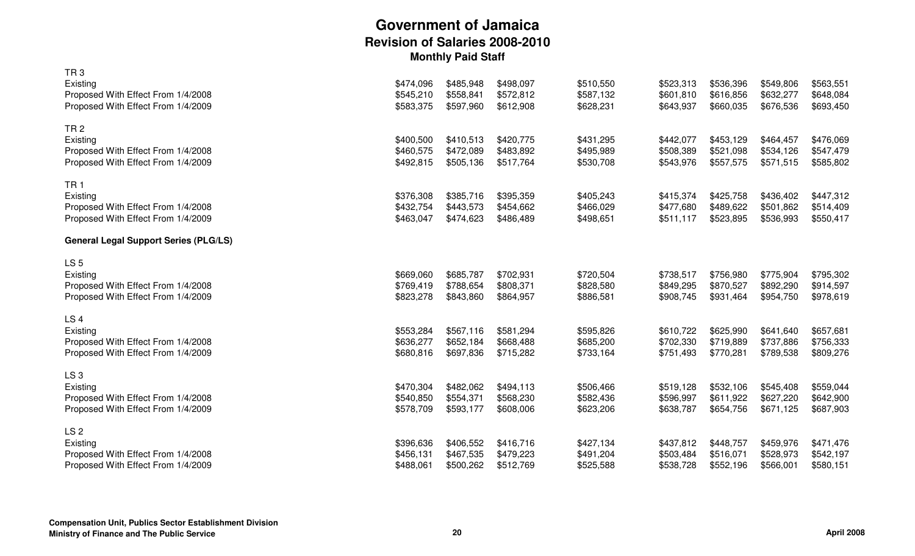|           |                                                  |                                                  |                                                  |                                                  |                                                  |                                                  | \$563,551                                        |
|-----------|--------------------------------------------------|--------------------------------------------------|--------------------------------------------------|--------------------------------------------------|--------------------------------------------------|--------------------------------------------------|--------------------------------------------------|
|           |                                                  |                                                  |                                                  |                                                  |                                                  |                                                  | \$648,084                                        |
|           |                                                  |                                                  |                                                  |                                                  |                                                  |                                                  | \$693,450                                        |
|           |                                                  |                                                  |                                                  |                                                  |                                                  |                                                  |                                                  |
| \$400,500 | \$410,513                                        | \$420,775                                        | \$431,295                                        | \$442,077                                        | \$453,129                                        | \$464,457                                        | \$476,069                                        |
| \$460,575 | \$472,089                                        | \$483,892                                        | \$495,989                                        | \$508,389                                        | \$521,098                                        | \$534,126                                        | \$547,479                                        |
|           |                                                  |                                                  |                                                  |                                                  |                                                  |                                                  | \$585,802                                        |
|           |                                                  |                                                  |                                                  |                                                  |                                                  |                                                  |                                                  |
| \$376,308 | \$385,716                                        | \$395,359                                        | \$405,243                                        | \$415,374                                        | \$425,758                                        | \$436,402                                        | \$447,312                                        |
| \$432,754 | \$443,573                                        | \$454,662                                        | \$466,029                                        | \$477,680                                        | \$489,622                                        | \$501,862                                        | \$514,409                                        |
| \$463,047 | \$474,623                                        | \$486,489                                        | \$498,651                                        | \$511,117                                        | \$523,895                                        | \$536,993                                        | \$550,417                                        |
|           |                                                  |                                                  |                                                  |                                                  |                                                  |                                                  |                                                  |
|           |                                                  |                                                  |                                                  |                                                  |                                                  |                                                  |                                                  |
| \$669,060 | \$685,787                                        | \$702,931                                        | \$720,504                                        | \$738,517                                        | \$756,980                                        | \$775,904                                        | \$795,302                                        |
| \$769,419 | \$788,654                                        | \$808,371                                        | \$828,580                                        | \$849,295                                        | \$870,527                                        | \$892,290                                        | \$914,597                                        |
| \$823,278 | \$843,860                                        | \$864,957                                        | \$886,581                                        | \$908,745                                        | \$931,464                                        | \$954,750                                        | \$978,619                                        |
|           |                                                  |                                                  |                                                  |                                                  |                                                  |                                                  |                                                  |
| \$553,284 | \$567,116                                        | \$581,294                                        | \$595,826                                        | \$610,722                                        | \$625,990                                        | \$641,640                                        | \$657,681                                        |
| \$636,277 | \$652,184                                        | \$668,488                                        | \$685,200                                        | \$702,330                                        | \$719,889                                        | \$737,886                                        | \$756,333                                        |
| \$680,816 | \$697,836                                        | \$715,282                                        | \$733,164                                        | \$751,493                                        | \$770,281                                        | \$789,538                                        | \$809,276                                        |
|           |                                                  |                                                  |                                                  |                                                  |                                                  |                                                  |                                                  |
| \$470,304 | \$482,062                                        | \$494,113                                        | \$506,466                                        | \$519,128                                        | \$532,106                                        | \$545,408                                        | \$559,044                                        |
| \$540,850 | \$554,371                                        | \$568,230                                        | \$582,436                                        | \$596,997                                        | \$611,922                                        | \$627,220                                        | \$642,900                                        |
| \$578,709 | \$593,177                                        | \$608,006                                        | \$623,206                                        | \$638,787                                        | \$654,756                                        | \$671,125                                        | \$687,903                                        |
|           |                                                  |                                                  |                                                  |                                                  |                                                  |                                                  |                                                  |
| \$396,636 | \$406,552                                        | \$416,716                                        | \$427,134                                        | \$437,812                                        | \$448,757                                        | \$459,976                                        | \$471,476                                        |
| \$456,131 | \$467,535                                        | \$479,223                                        | \$491,204                                        | \$503,484                                        | \$516,071                                        | \$528,973                                        | \$542,197                                        |
| \$488,061 | \$500,262                                        | \$512,769                                        | \$525,588                                        | \$538,728                                        | \$552,196                                        | \$566,001                                        | \$580,151                                        |
|           | \$474,096<br>\$545,210<br>\$583,375<br>\$492,815 | \$485,948<br>\$558,841<br>\$597,960<br>\$505,136 | \$498,097<br>\$572,812<br>\$612,908<br>\$517,764 | \$510,550<br>\$587,132<br>\$628,231<br>\$530,708 | \$523,313<br>\$601,810<br>\$643,937<br>\$543,976 | \$536,396<br>\$616,856<br>\$660,035<br>\$557,575 | \$549,806<br>\$632,277<br>\$676,536<br>\$571,515 |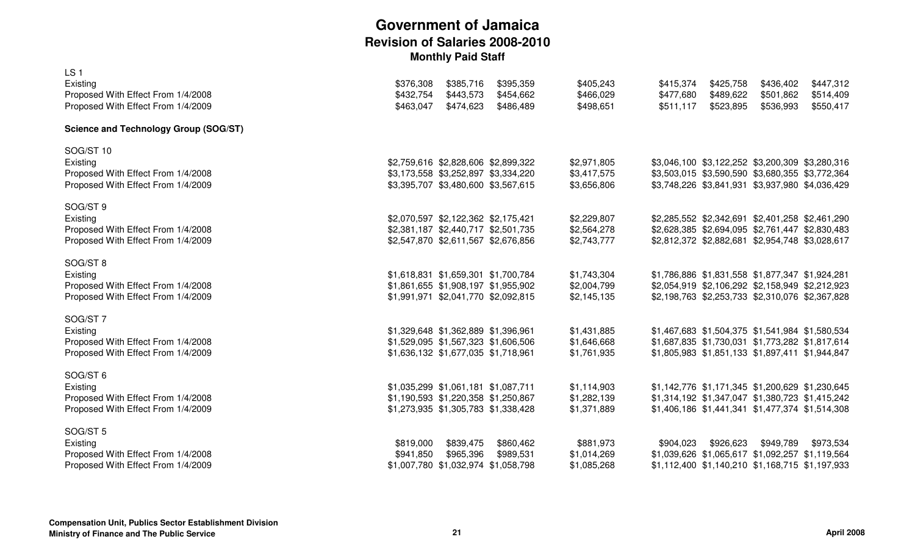| LS <sub>1</sub><br>Existing<br>Proposed With Effect From 1/4/2008<br>Proposed With Effect From 1/4/2009     | \$376,308<br>\$432,754<br>\$463,047 | \$385,716<br>\$443,573<br>\$474,623                                                                               | \$395,359<br>\$454,662<br>\$486,489 | \$405,243<br>\$466,029<br>\$498,651       | \$415,374<br>\$477,680<br>\$511,117 | \$425,758<br>\$489,622<br>\$523,895 | \$436,402<br>\$501,862<br>\$536,993                                                                                                                   | \$447,312<br>\$514,409<br>\$550,417             |
|-------------------------------------------------------------------------------------------------------------|-------------------------------------|-------------------------------------------------------------------------------------------------------------------|-------------------------------------|-------------------------------------------|-------------------------------------|-------------------------------------|-------------------------------------------------------------------------------------------------------------------------------------------------------|-------------------------------------------------|
| <b>Science and Technology Group (SOG/ST)</b>                                                                |                                     |                                                                                                                   |                                     |                                           |                                     |                                     |                                                                                                                                                       |                                                 |
| SOG/ST 10<br>Existing<br>Proposed With Effect From 1/4/2008<br>Proposed With Effect From 1/4/2009           |                                     | \$2,759,616 \$2,828,606 \$2,899,322<br>\$3,173,558 \$3,252,897 \$3,334,220<br>\$3,395,707 \$3,480,600 \$3,567,615 |                                     | \$2,971,805<br>\$3,417,575<br>\$3,656,806 |                                     |                                     | \$3,046,100 \$3,122,252 \$3,200,309 \$3,280,316<br>\$3,503,015 \$3,590,590 \$3,680,355 \$3,772,364<br>\$3,748,226 \$3,841,931 \$3,937,980 \$4,036,429 |                                                 |
| SOG/ST 9<br>Existing<br>Proposed With Effect From 1/4/2008<br>Proposed With Effect From 1/4/2009            |                                     | \$2,070,597 \$2,122,362 \$2,175,421<br>\$2,381,187 \$2,440,717 \$2,501,735<br>\$2,547,870 \$2,611,567 \$2,676,856 |                                     | \$2,229,807<br>\$2,564,278<br>\$2,743,777 |                                     |                                     | \$2,285,552 \$2,342,691 \$2,401,258 \$2,461,290<br>\$2,812,372 \$2,882,681 \$2,954,748 \$3,028,617                                                    | \$2,628,385 \$2,694,095 \$2,761,447 \$2,830,483 |
| SOG/ST 8<br>Existing<br>Proposed With Effect From 1/4/2008<br>Proposed With Effect From 1/4/2009            |                                     | \$1,618,831 \$1,659,301 \$1,700,784<br>\$1,861,655 \$1,908,197 \$1,955,902<br>\$1,991,971 \$2,041,770 \$2,092,815 |                                     | \$1,743,304<br>\$2,004,799<br>\$2,145,135 |                                     |                                     | \$1,786,886 \$1,831,558 \$1,877,347 \$1,924,281<br>\$2,198,763 \$2,253,733 \$2,310,076 \$2,367,828                                                    | \$2,054,919 \$2,106,292 \$2,158,949 \$2,212,923 |
| SOG/ST 7<br>Existing<br>Proposed With Effect From 1/4/2008<br>Proposed With Effect From 1/4/2009            |                                     | \$1,329,648 \$1,362,889 \$1,396,961<br>\$1,529,095 \$1,567,323 \$1,606,506<br>\$1,636,132 \$1,677,035 \$1,718,961 |                                     | \$1,431,885<br>\$1,646,668<br>\$1,761,935 |                                     |                                     | \$1,467,683 \$1,504,375 \$1,541,984 \$1,580,534<br>\$1,687,835 \$1,730,031 \$1,773,282 \$1,817,614<br>\$1,805,983 \$1,851,133 \$1,897,411 \$1,944,847 |                                                 |
| SOG/ST 6<br>Existing<br>Proposed With Effect From 1/4/2008<br>Proposed With Effect From 1/4/2009            |                                     | \$1,035,299 \$1,061,181 \$1,087,711<br>\$1,190,593 \$1,220,358 \$1,250,867<br>\$1,273,935 \$1,305,783 \$1,338,428 |                                     | \$1,114,903<br>\$1,282,139<br>\$1,371,889 |                                     |                                     | \$1,142,776 \$1,171,345 \$1,200,629 \$1,230,645<br>\$1,314,192 \$1,347,047 \$1,380,723 \$1,415,242<br>\$1,406,186 \$1,441,341 \$1,477,374 \$1,514,308 |                                                 |
| SOG/ST <sub>5</sub><br>Existing<br>Proposed With Effect From 1/4/2008<br>Proposed With Effect From 1/4/2009 | \$819,000<br>\$941,850              | \$839,475<br>\$965,396<br>\$1,007,780 \$1,032,974 \$1,058,798                                                     | \$860,462<br>\$989,531              | \$881,973<br>\$1,014,269<br>\$1,085,268   | \$904,023                           | \$926,623                           | \$949,789<br>\$1,039,626 \$1,065,617 \$1,092,257 \$1,119,564<br>\$1,112,400 \$1,140,210 \$1,168,715 \$1,197,933                                       | \$973,534                                       |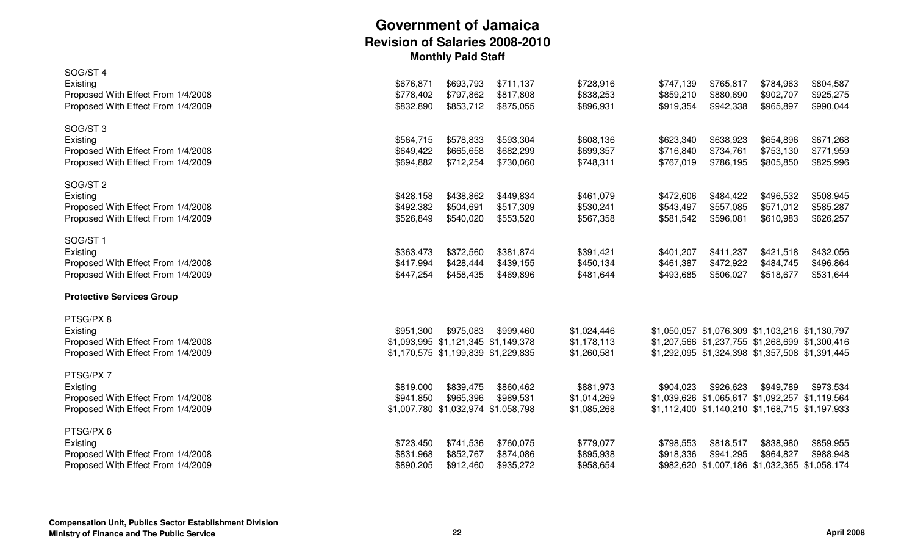| SOG/ST 4                           |           |                                     |           |             |           |           |                                                 |           |
|------------------------------------|-----------|-------------------------------------|-----------|-------------|-----------|-----------|-------------------------------------------------|-----------|
| Existing                           | \$676,871 | \$693,793                           | \$711,137 | \$728,916   | \$747,139 | \$765,817 | \$784,963                                       | \$804,587 |
| Proposed With Effect From 1/4/2008 | \$778,402 | \$797,862                           | \$817,808 | \$838,253   | \$859,210 | \$880,690 | \$902,707                                       | \$925,275 |
| Proposed With Effect From 1/4/2009 | \$832,890 | \$853,712                           | \$875,055 | \$896,931   | \$919,354 | \$942,338 | \$965,897                                       | \$990,044 |
| SOG/ST <sub>3</sub>                |           |                                     |           |             |           |           |                                                 |           |
| Existing                           | \$564,715 | \$578,833                           | \$593,304 | \$608,136   | \$623,340 | \$638,923 | \$654,896                                       | \$671,268 |
| Proposed With Effect From 1/4/2008 | \$649,422 | \$665,658                           | \$682,299 | \$699,357   | \$716,840 | \$734,761 | \$753,130                                       | \$771,959 |
| Proposed With Effect From 1/4/2009 | \$694,882 | \$712,254                           | \$730,060 | \$748,311   | \$767,019 | \$786,195 | \$805,850                                       | \$825,996 |
| SOG/ST <sub>2</sub>                |           |                                     |           |             |           |           |                                                 |           |
| Existing                           | \$428,158 | \$438,862                           | \$449,834 | \$461,079   | \$472,606 | \$484,422 | \$496,532                                       | \$508,945 |
| Proposed With Effect From 1/4/2008 | \$492,382 | \$504,691                           | \$517,309 | \$530,241   | \$543,497 | \$557,085 | \$571,012                                       | \$585,287 |
| Proposed With Effect From 1/4/2009 | \$526,849 | \$540,020                           | \$553,520 | \$567,358   | \$581,542 | \$596,081 | \$610,983                                       | \$626,257 |
| SOG/ST1                            |           |                                     |           |             |           |           |                                                 |           |
| Existing                           | \$363,473 | \$372,560                           | \$381,874 | \$391,421   | \$401,207 | \$411,237 | \$421,518                                       | \$432,056 |
| Proposed With Effect From 1/4/2008 | \$417,994 | \$428,444                           | \$439,155 | \$450,134   | \$461,387 | \$472,922 | \$484,745                                       | \$496,864 |
| Proposed With Effect From 1/4/2009 | \$447,254 | \$458,435                           | \$469,896 | \$481,644   | \$493,685 | \$506,027 | \$518,677                                       | \$531,644 |
| <b>Protective Services Group</b>   |           |                                     |           |             |           |           |                                                 |           |
| PTSG/PX8                           |           |                                     |           |             |           |           |                                                 |           |
| Existing                           | \$951,300 | \$975,083                           | \$999,460 | \$1,024,446 |           |           | \$1,050,057 \$1,076,309 \$1,103,216 \$1,130,797 |           |
| Proposed With Effect From 1/4/2008 |           | \$1,093,995 \$1,121,345 \$1,149,378 |           | \$1,178,113 |           |           | \$1,207,566 \$1,237,755 \$1,268,699 \$1,300,416 |           |
| Proposed With Effect From 1/4/2009 |           | \$1,170,575 \$1,199,839 \$1,229,835 |           | \$1,260,581 |           |           | \$1,292,095 \$1,324,398 \$1,357,508 \$1,391,445 |           |
| PTSG/PX7                           |           |                                     |           |             |           |           |                                                 |           |
| Existing                           | \$819,000 | \$839,475                           | \$860,462 | \$881,973   | \$904,023 | \$926,623 | \$949,789                                       | \$973,534 |
| Proposed With Effect From 1/4/2008 | \$941,850 | \$965,396                           | \$989,531 | \$1,014,269 |           |           | \$1,039,626 \$1,065,617 \$1,092,257 \$1,119,564 |           |
| Proposed With Effect From 1/4/2009 |           | \$1,007,780 \$1,032,974 \$1,058,798 |           | \$1,085,268 |           |           | \$1,112,400 \$1,140,210 \$1,168,715 \$1,197,933 |           |
| PTSG/PX6                           |           |                                     |           |             |           |           |                                                 |           |
| Existing                           | \$723,450 | \$741,536                           | \$760,075 | \$779,077   | \$798,553 | \$818,517 | \$838,980                                       | \$859,955 |
| Proposed With Effect From 1/4/2008 | \$831,968 | \$852,767                           | \$874,086 | \$895,938   | \$918,336 | \$941,295 | \$964,827                                       | \$988,948 |
| Proposed With Effect From 1/4/2009 | \$890,205 | \$912,460                           | \$935,272 | \$958,654   |           |           | \$982,620 \$1,007,186 \$1,032,365 \$1,058,174   |           |